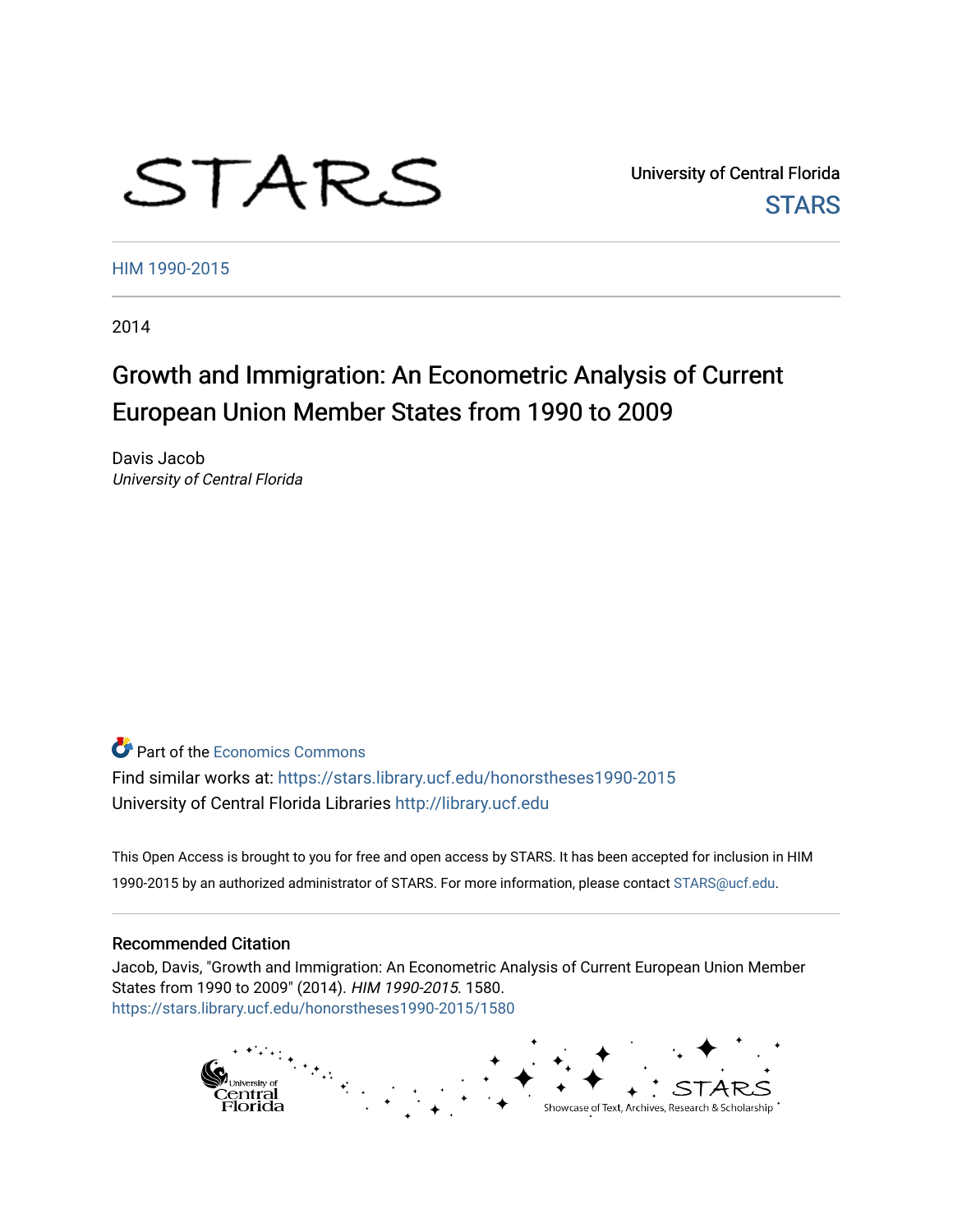# STARS

University of Central Florida **STARS** 

[HIM 1990-2015](https://stars.library.ucf.edu/honorstheses1990-2015) 

2014

# Growth and Immigration: An Econometric Analysis of Current European Union Member States from 1990 to 2009

Davis Jacob University of Central Florida

**C** Part of the [Economics Commons](http://network.bepress.com/hgg/discipline/340?utm_source=stars.library.ucf.edu%2Fhonorstheses1990-2015%2F1580&utm_medium=PDF&utm_campaign=PDFCoverPages)

Find similar works at: <https://stars.library.ucf.edu/honorstheses1990-2015> University of Central Florida Libraries [http://library.ucf.edu](http://library.ucf.edu/) 

This Open Access is brought to you for free and open access by STARS. It has been accepted for inclusion in HIM 1990-2015 by an authorized administrator of STARS. For more information, please contact [STARS@ucf.edu](mailto:STARS@ucf.edu).

#### Recommended Citation

Jacob, Davis, "Growth and Immigration: An Econometric Analysis of Current European Union Member States from 1990 to 2009" (2014). HIM 1990-2015. 1580. [https://stars.library.ucf.edu/honorstheses1990-2015/1580](https://stars.library.ucf.edu/honorstheses1990-2015/1580?utm_source=stars.library.ucf.edu%2Fhonorstheses1990-2015%2F1580&utm_medium=PDF&utm_campaign=PDFCoverPages) 

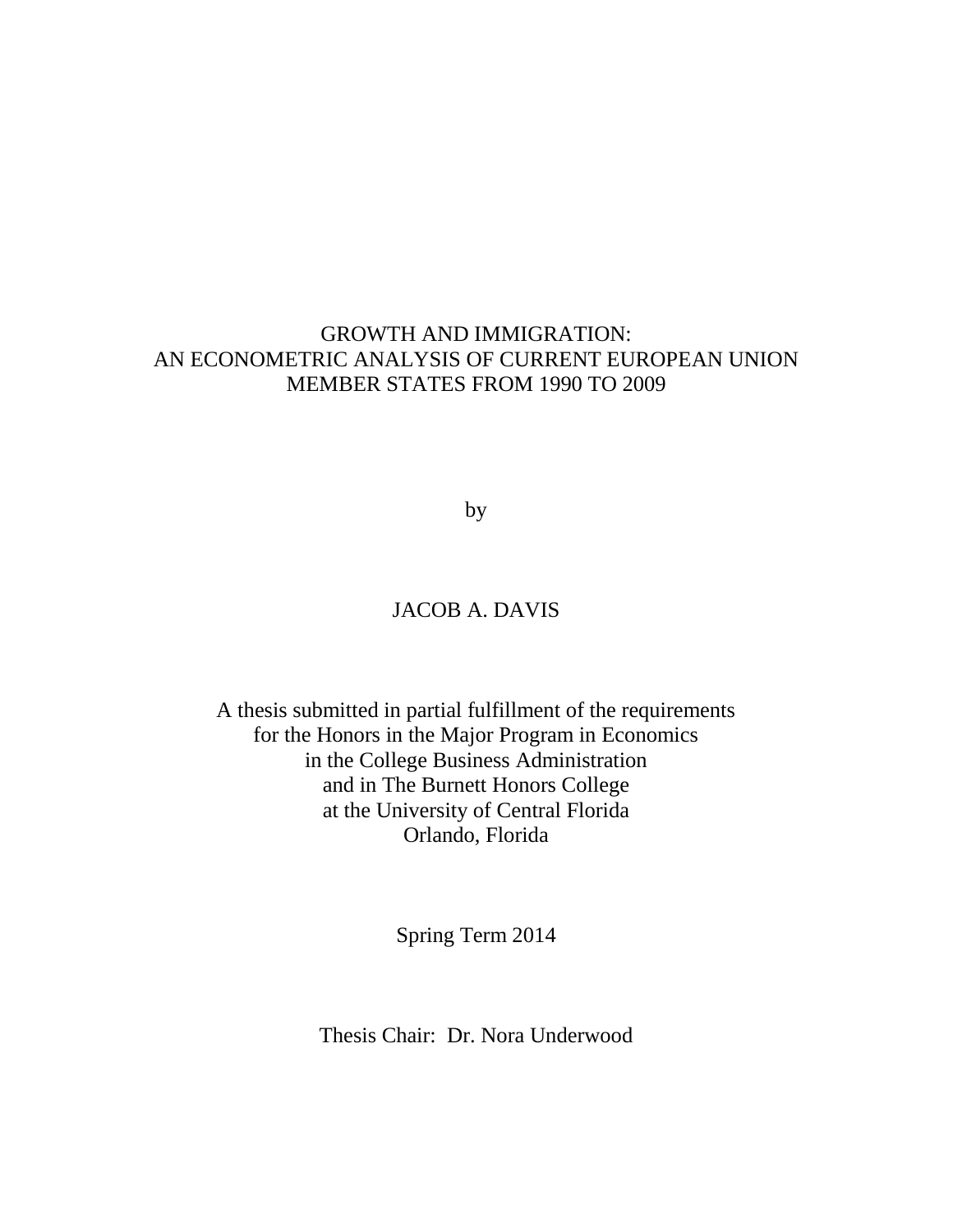## GROWTH AND IMMIGRATION: AN ECONOMETRIC ANALYSIS OF CURRENT EUROPEAN UNION MEMBER STATES FROM 1990 TO 2009

by

## JACOB A. DAVIS

A thesis submitted in partial fulfillment of the requirements for the Honors in the Major Program in Economics in the College Business Administration and in The Burnett Honors College at the University of Central Florida Orlando, Florida

Spring Term 2014

Thesis Chair: Dr. Nora Underwood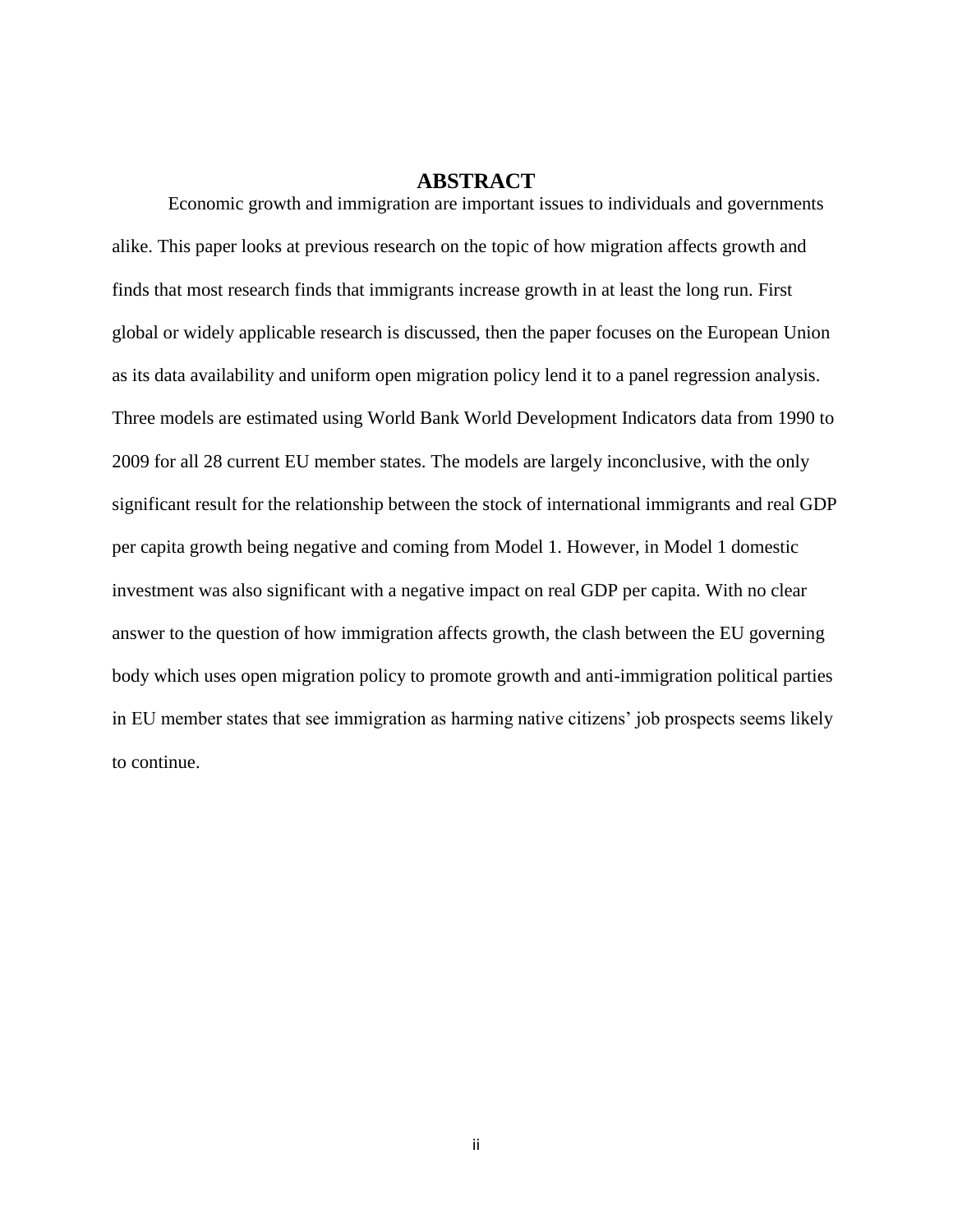#### **ABSTRACT**

Economic growth and immigration are important issues to individuals and governments alike. This paper looks at previous research on the topic of how migration affects growth and finds that most research finds that immigrants increase growth in at least the long run. First global or widely applicable research is discussed, then the paper focuses on the European Union as its data availability and uniform open migration policy lend it to a panel regression analysis. Three models are estimated using World Bank World Development Indicators data from 1990 to 2009 for all 28 current EU member states. The models are largely inconclusive, with the only significant result for the relationship between the stock of international immigrants and real GDP per capita growth being negative and coming from Model 1. However, in Model 1 domestic investment was also significant with a negative impact on real GDP per capita. With no clear answer to the question of how immigration affects growth, the clash between the EU governing body which uses open migration policy to promote growth and anti-immigration political parties in EU member states that see immigration as harming native citizens' job prospects seems likely to continue.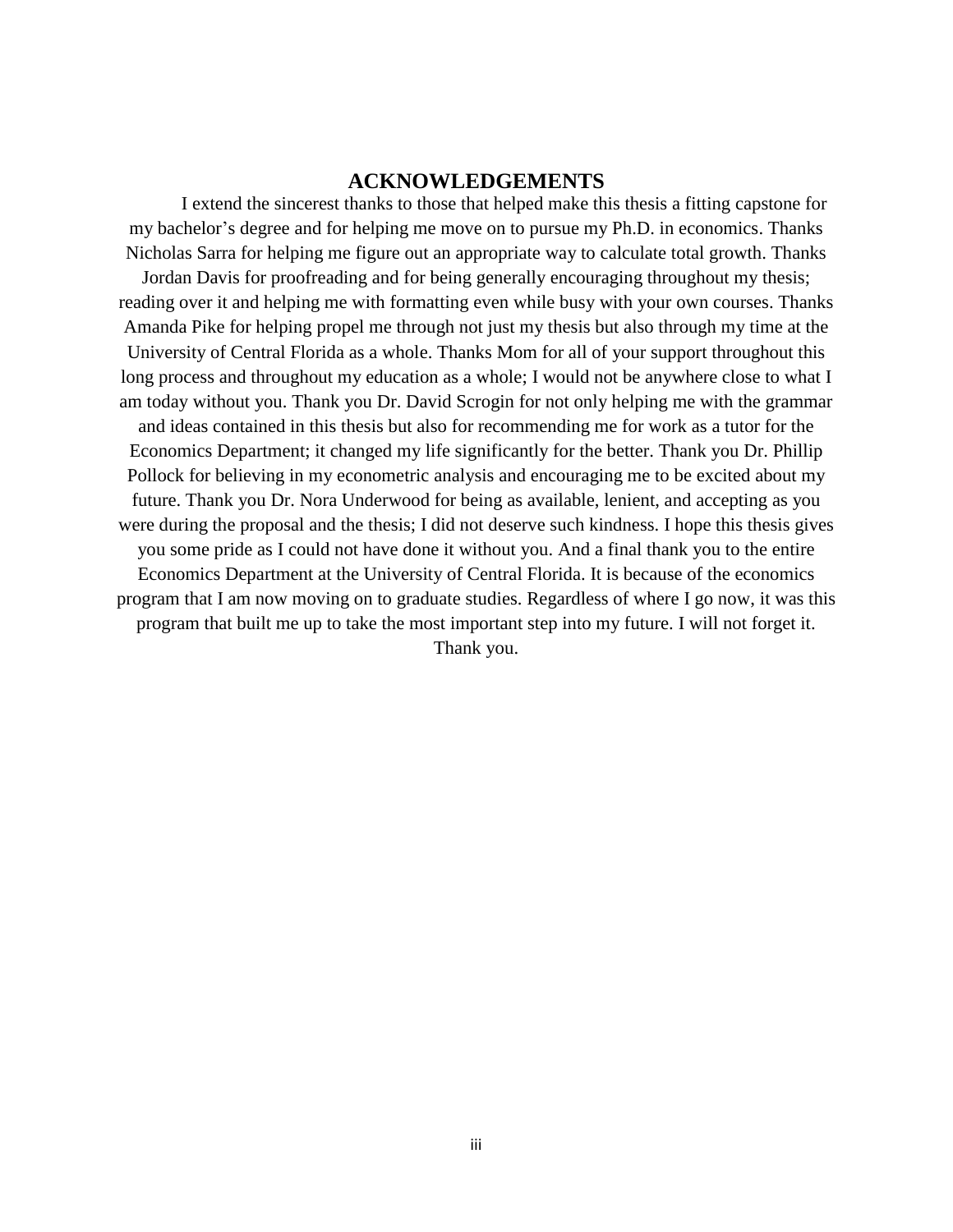#### **ACKNOWLEDGEMENTS**

I extend the sincerest thanks to those that helped make this thesis a fitting capstone for my bachelor's degree and for helping me move on to pursue my Ph.D. in economics. Thanks Nicholas Sarra for helping me figure out an appropriate way to calculate total growth. Thanks Jordan Davis for proofreading and for being generally encouraging throughout my thesis; reading over it and helping me with formatting even while busy with your own courses. Thanks Amanda Pike for helping propel me through not just my thesis but also through my time at the University of Central Florida as a whole. Thanks Mom for all of your support throughout this long process and throughout my education as a whole; I would not be anywhere close to what I am today without you. Thank you Dr. David Scrogin for not only helping me with the grammar and ideas contained in this thesis but also for recommending me for work as a tutor for the Economics Department; it changed my life significantly for the better. Thank you Dr. Phillip Pollock for believing in my econometric analysis and encouraging me to be excited about my future. Thank you Dr. Nora Underwood for being as available, lenient, and accepting as you were during the proposal and the thesis; I did not deserve such kindness. I hope this thesis gives you some pride as I could not have done it without you. And a final thank you to the entire Economics Department at the University of Central Florida. It is because of the economics program that I am now moving on to graduate studies. Regardless of where I go now, it was this program that built me up to take the most important step into my future. I will not forget it. Thank you.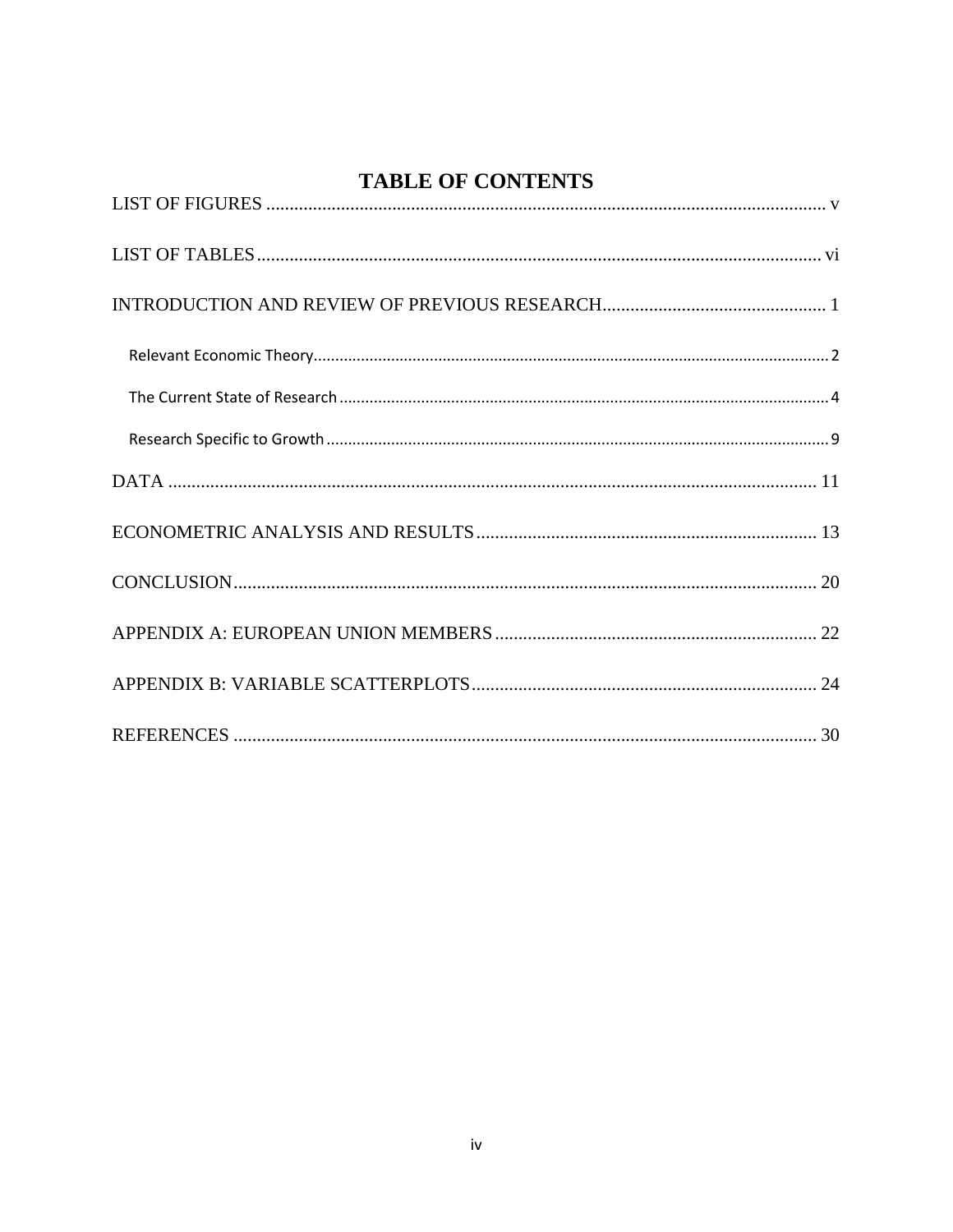## **TABLE OF CONTENTS**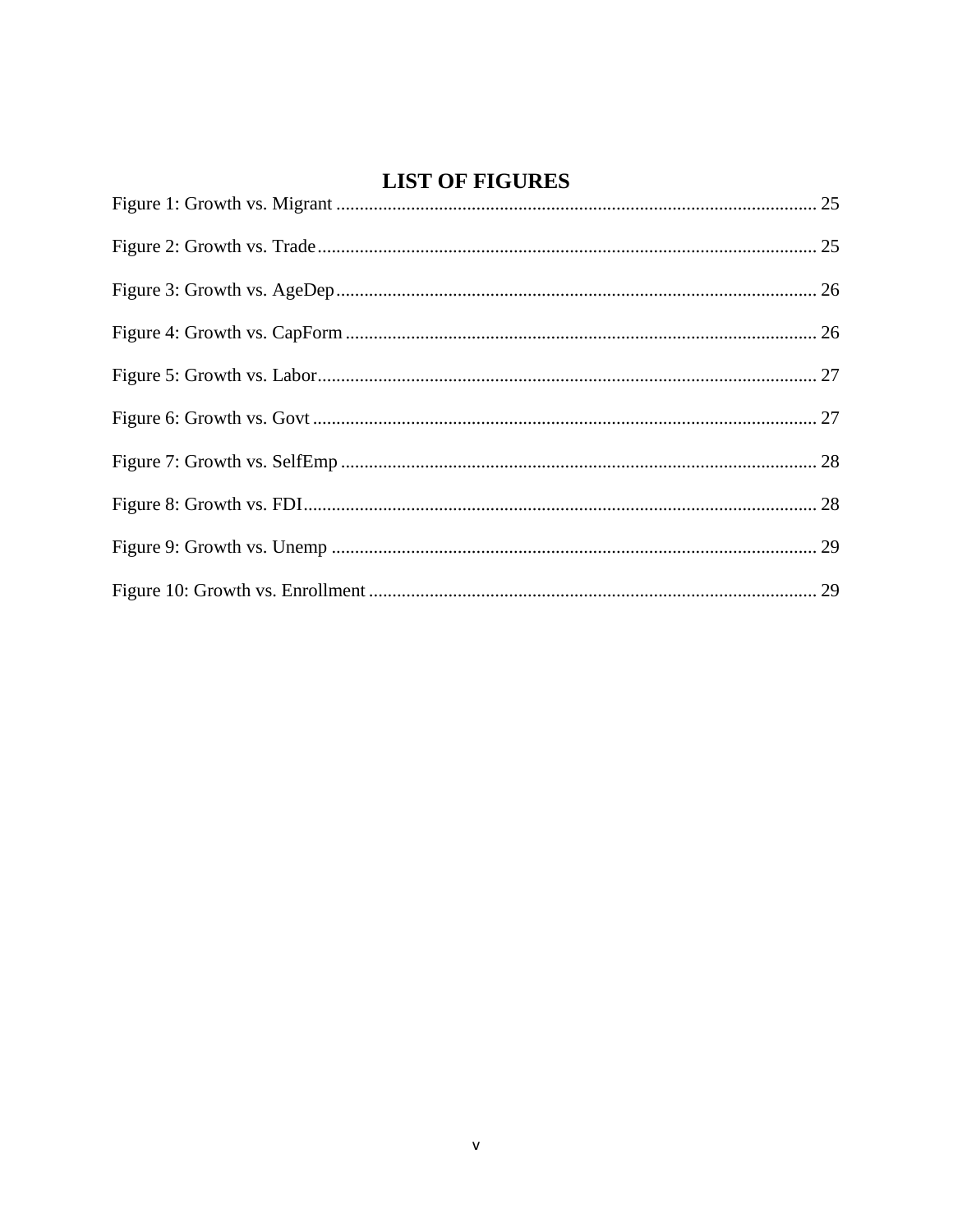## **LIST OF FIGURES**

<span id="page-5-0"></span>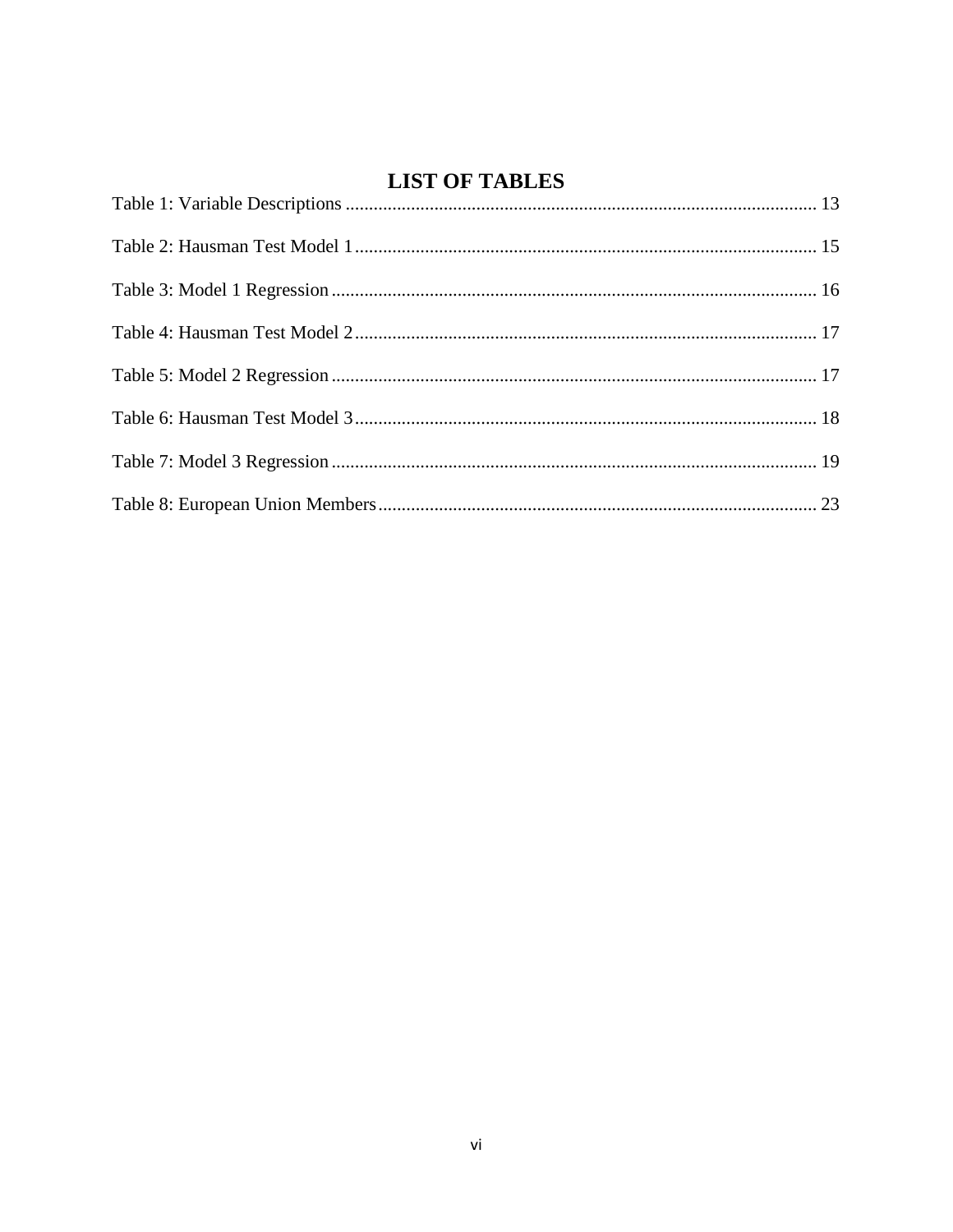## **LIST OF TABLES**

<span id="page-6-0"></span>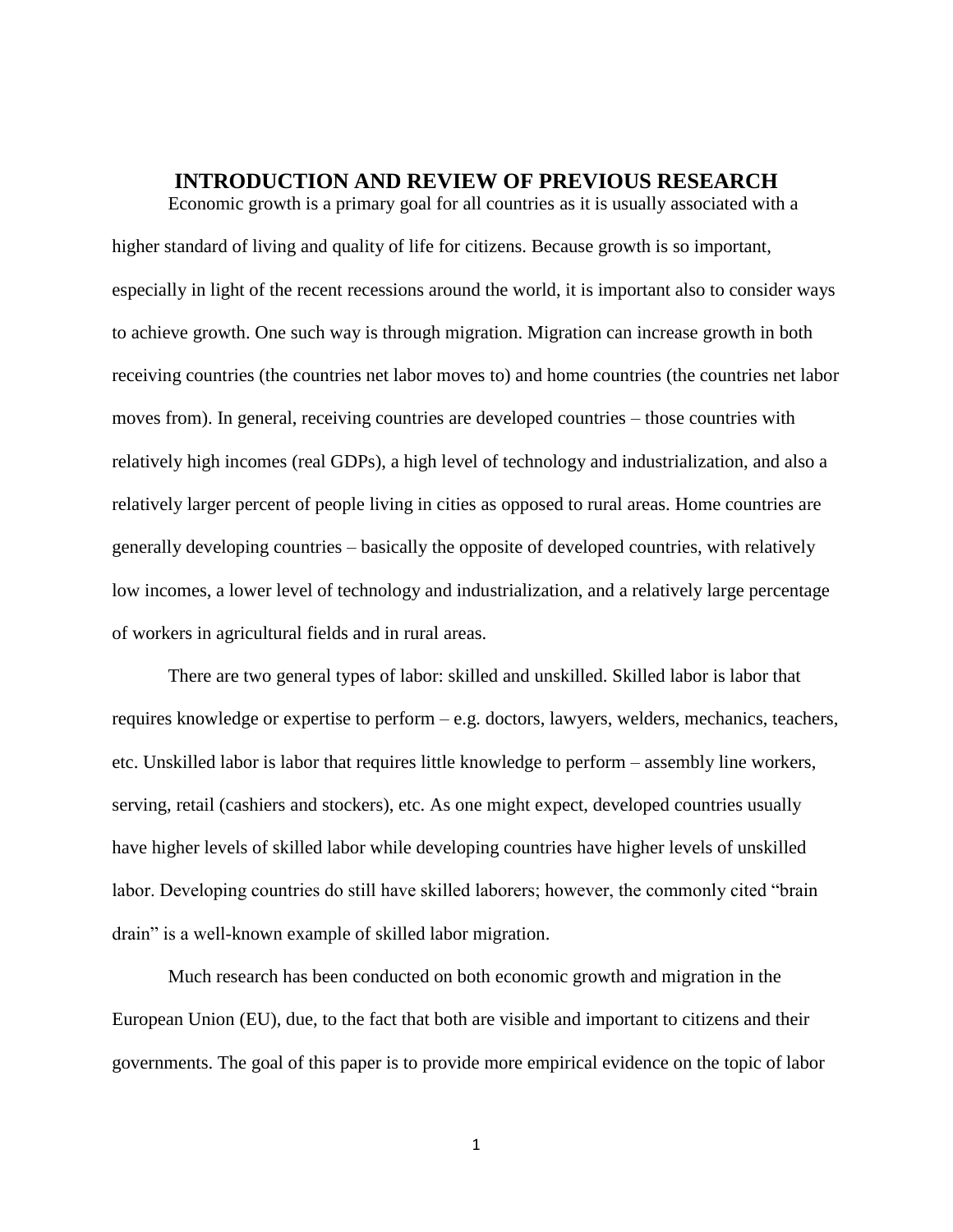#### **INTRODUCTION AND REVIEW OF PREVIOUS RESEARCH**

<span id="page-7-0"></span>Economic growth is a primary goal for all countries as it is usually associated with a higher standard of living and quality of life for citizens. Because growth is so important, especially in light of the recent recessions around the world, it is important also to consider ways to achieve growth. One such way is through migration. Migration can increase growth in both receiving countries (the countries net labor moves to) and home countries (the countries net labor moves from). In general, receiving countries are developed countries – those countries with relatively high incomes (real GDPs), a high level of technology and industrialization, and also a relatively larger percent of people living in cities as opposed to rural areas. Home countries are generally developing countries – basically the opposite of developed countries, with relatively low incomes, a lower level of technology and industrialization, and a relatively large percentage of workers in agricultural fields and in rural areas.

There are two general types of labor: skilled and unskilled. Skilled labor is labor that requires knowledge or expertise to perform – e.g. doctors, lawyers, welders, mechanics, teachers, etc. Unskilled labor is labor that requires little knowledge to perform – assembly line workers, serving, retail (cashiers and stockers), etc. As one might expect, developed countries usually have higher levels of skilled labor while developing countries have higher levels of unskilled labor. Developing countries do still have skilled laborers; however, the commonly cited "brain drain" is a well-known example of skilled labor migration.

Much research has been conducted on both economic growth and migration in the European Union (EU), due, to the fact that both are visible and important to citizens and their governments. The goal of this paper is to provide more empirical evidence on the topic of labor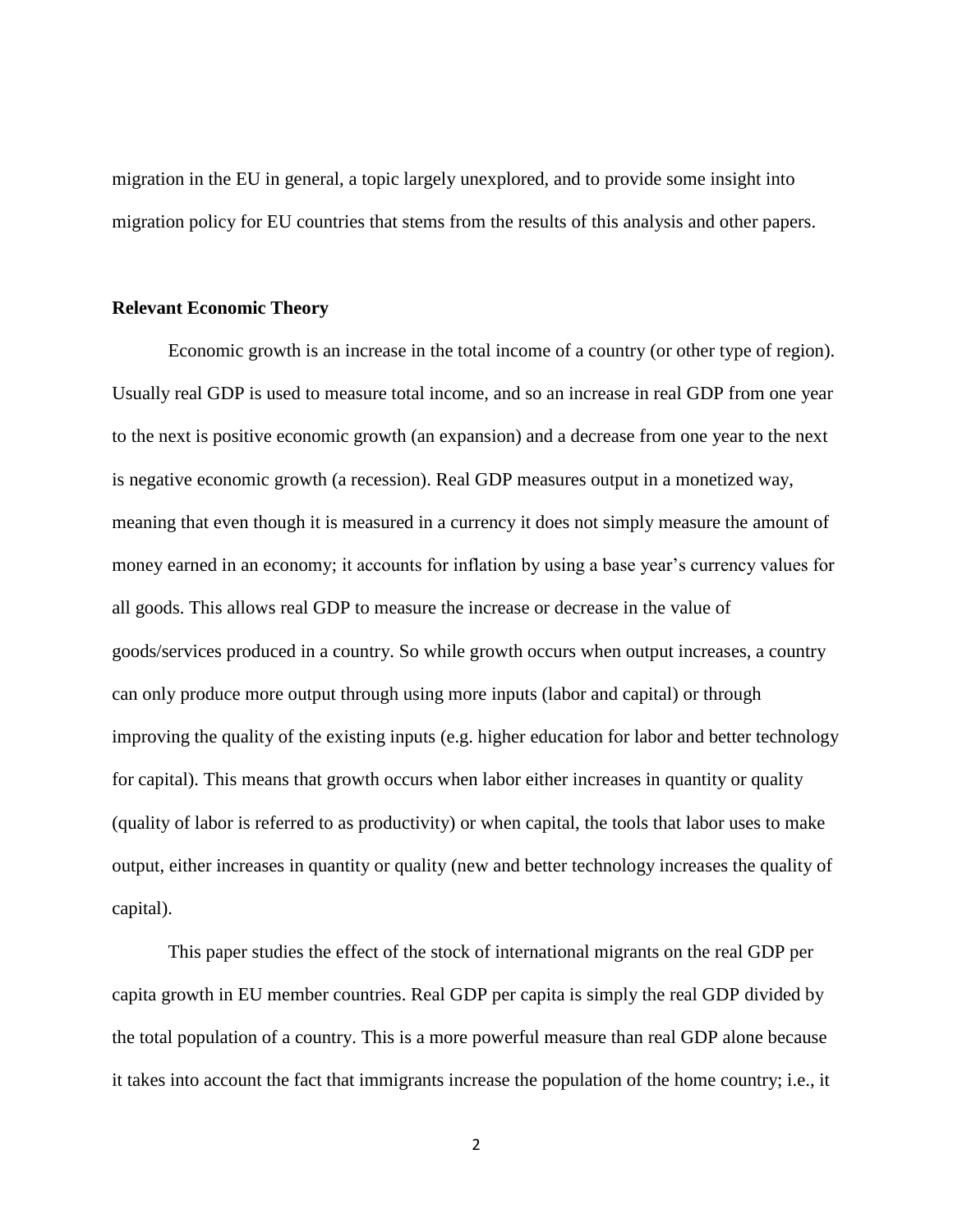migration in the EU in general, a topic largely unexplored, and to provide some insight into migration policy for EU countries that stems from the results of this analysis and other papers.

#### <span id="page-8-0"></span>**Relevant Economic Theory**

Economic growth is an increase in the total income of a country (or other type of region). Usually real GDP is used to measure total income, and so an increase in real GDP from one year to the next is positive economic growth (an expansion) and a decrease from one year to the next is negative economic growth (a recession). Real GDP measures output in a monetized way, meaning that even though it is measured in a currency it does not simply measure the amount of money earned in an economy; it accounts for inflation by using a base year's currency values for all goods. This allows real GDP to measure the increase or decrease in the value of goods/services produced in a country. So while growth occurs when output increases, a country can only produce more output through using more inputs (labor and capital) or through improving the quality of the existing inputs (e.g. higher education for labor and better technology for capital). This means that growth occurs when labor either increases in quantity or quality (quality of labor is referred to as productivity) or when capital, the tools that labor uses to make output, either increases in quantity or quality (new and better technology increases the quality of capital).

This paper studies the effect of the stock of international migrants on the real GDP per capita growth in EU member countries. Real GDP per capita is simply the real GDP divided by the total population of a country. This is a more powerful measure than real GDP alone because it takes into account the fact that immigrants increase the population of the home country; i.e., it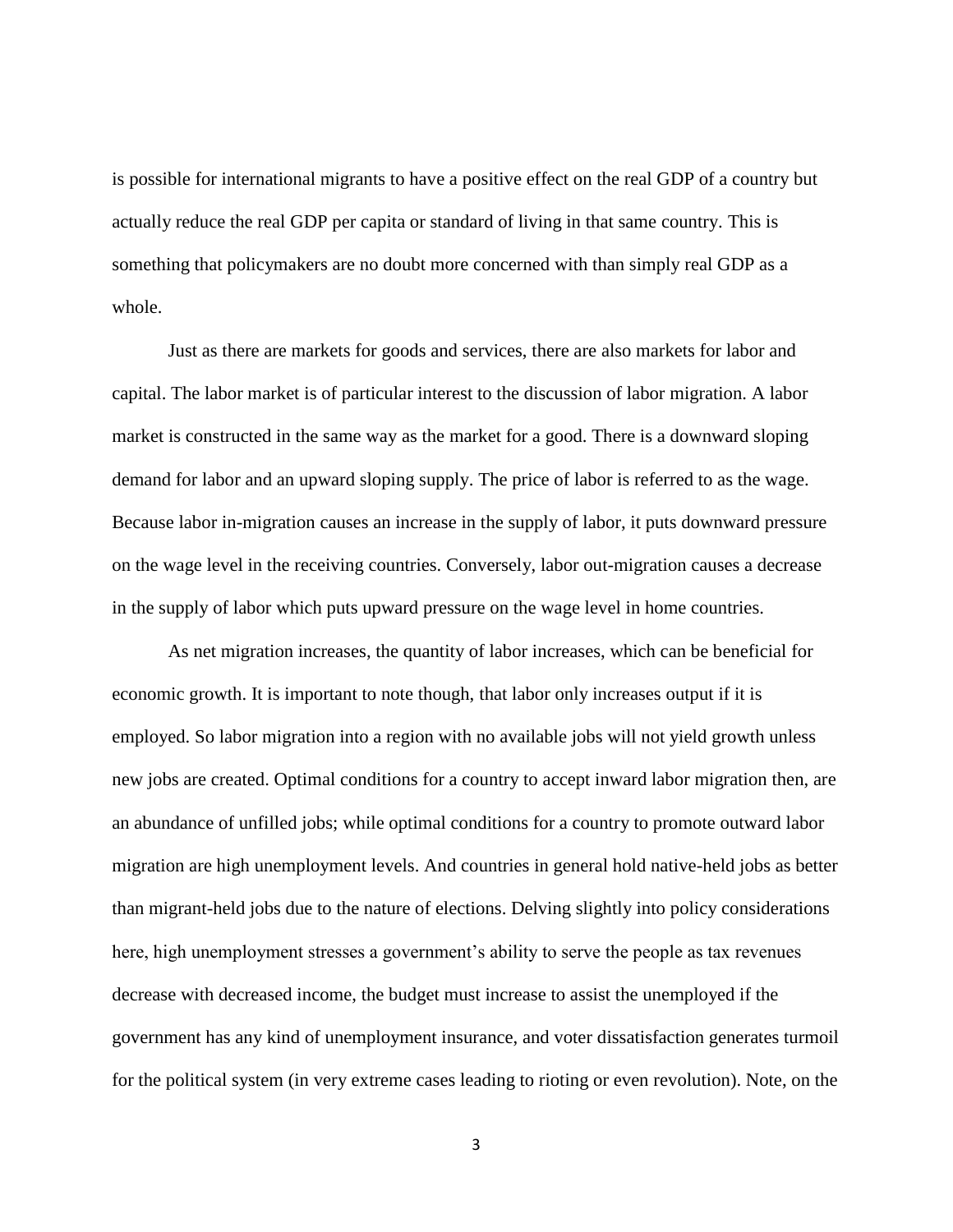is possible for international migrants to have a positive effect on the real GDP of a country but actually reduce the real GDP per capita or standard of living in that same country. This is something that policymakers are no doubt more concerned with than simply real GDP as a whole.

Just as there are markets for goods and services, there are also markets for labor and capital. The labor market is of particular interest to the discussion of labor migration. A labor market is constructed in the same way as the market for a good. There is a downward sloping demand for labor and an upward sloping supply. The price of labor is referred to as the wage. Because labor in-migration causes an increase in the supply of labor, it puts downward pressure on the wage level in the receiving countries. Conversely, labor out-migration causes a decrease in the supply of labor which puts upward pressure on the wage level in home countries.

As net migration increases, the quantity of labor increases, which can be beneficial for economic growth. It is important to note though, that labor only increases output if it is employed. So labor migration into a region with no available jobs will not yield growth unless new jobs are created. Optimal conditions for a country to accept inward labor migration then, are an abundance of unfilled jobs; while optimal conditions for a country to promote outward labor migration are high unemployment levels. And countries in general hold native-held jobs as better than migrant-held jobs due to the nature of elections. Delving slightly into policy considerations here, high unemployment stresses a government's ability to serve the people as tax revenues decrease with decreased income, the budget must increase to assist the unemployed if the government has any kind of unemployment insurance, and voter dissatisfaction generates turmoil for the political system (in very extreme cases leading to rioting or even revolution). Note, on the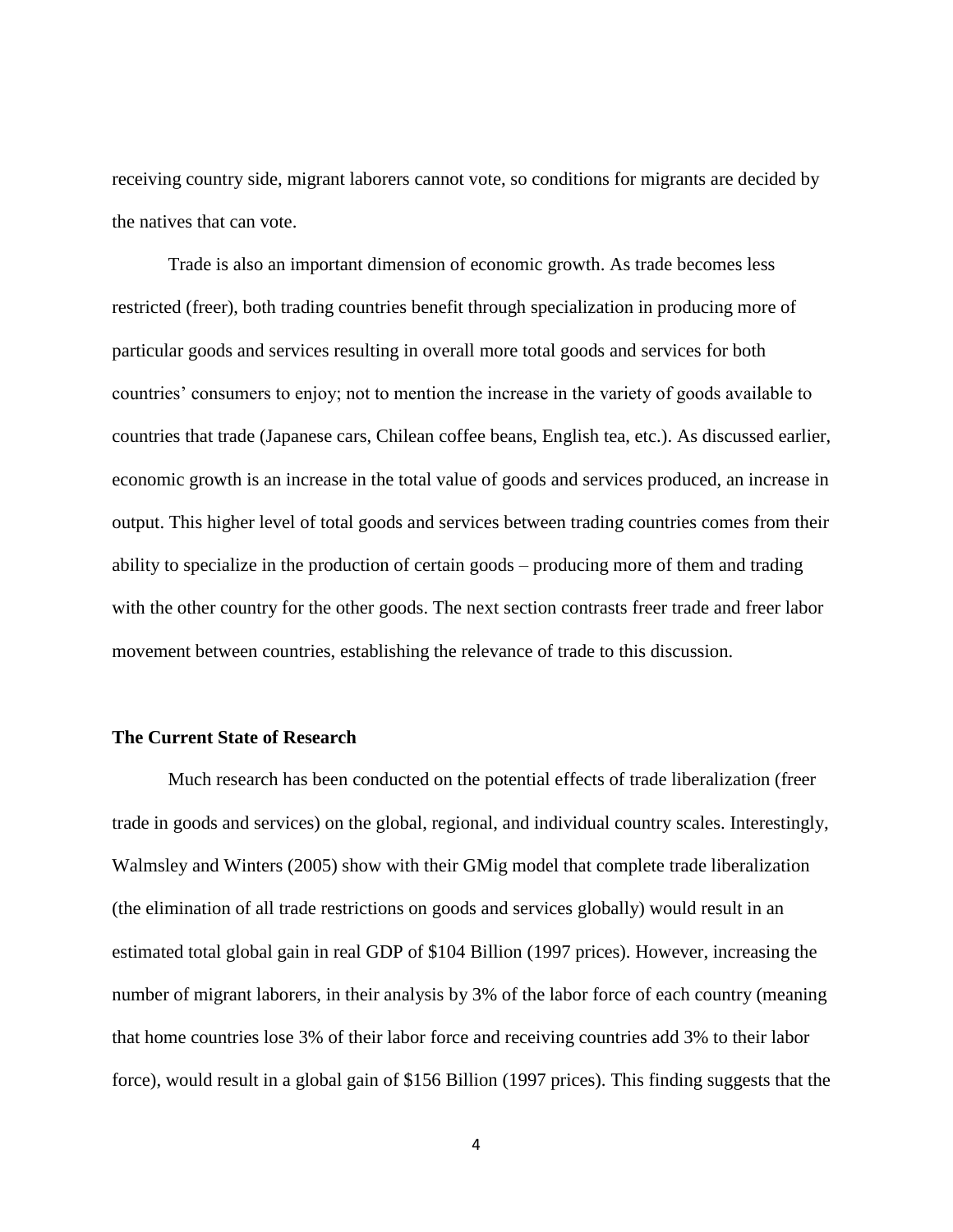receiving country side, migrant laborers cannot vote, so conditions for migrants are decided by the natives that can vote.

Trade is also an important dimension of economic growth. As trade becomes less restricted (freer), both trading countries benefit through specialization in producing more of particular goods and services resulting in overall more total goods and services for both countries' consumers to enjoy; not to mention the increase in the variety of goods available to countries that trade (Japanese cars, Chilean coffee beans, English tea, etc.). As discussed earlier, economic growth is an increase in the total value of goods and services produced, an increase in output. This higher level of total goods and services between trading countries comes from their ability to specialize in the production of certain goods – producing more of them and trading with the other country for the other goods. The next section contrasts freer trade and freer labor movement between countries, establishing the relevance of trade to this discussion.

#### <span id="page-10-0"></span>**The Current State of Research**

Much research has been conducted on the potential effects of trade liberalization (freer trade in goods and services) on the global, regional, and individual country scales. Interestingly, Walmsley and Winters (2005) show with their GMig model that complete trade liberalization (the elimination of all trade restrictions on goods and services globally) would result in an estimated total global gain in real GDP of \$104 Billion (1997 prices). However, increasing the number of migrant laborers, in their analysis by 3% of the labor force of each country (meaning that home countries lose 3% of their labor force and receiving countries add 3% to their labor force), would result in a global gain of \$156 Billion (1997 prices). This finding suggests that the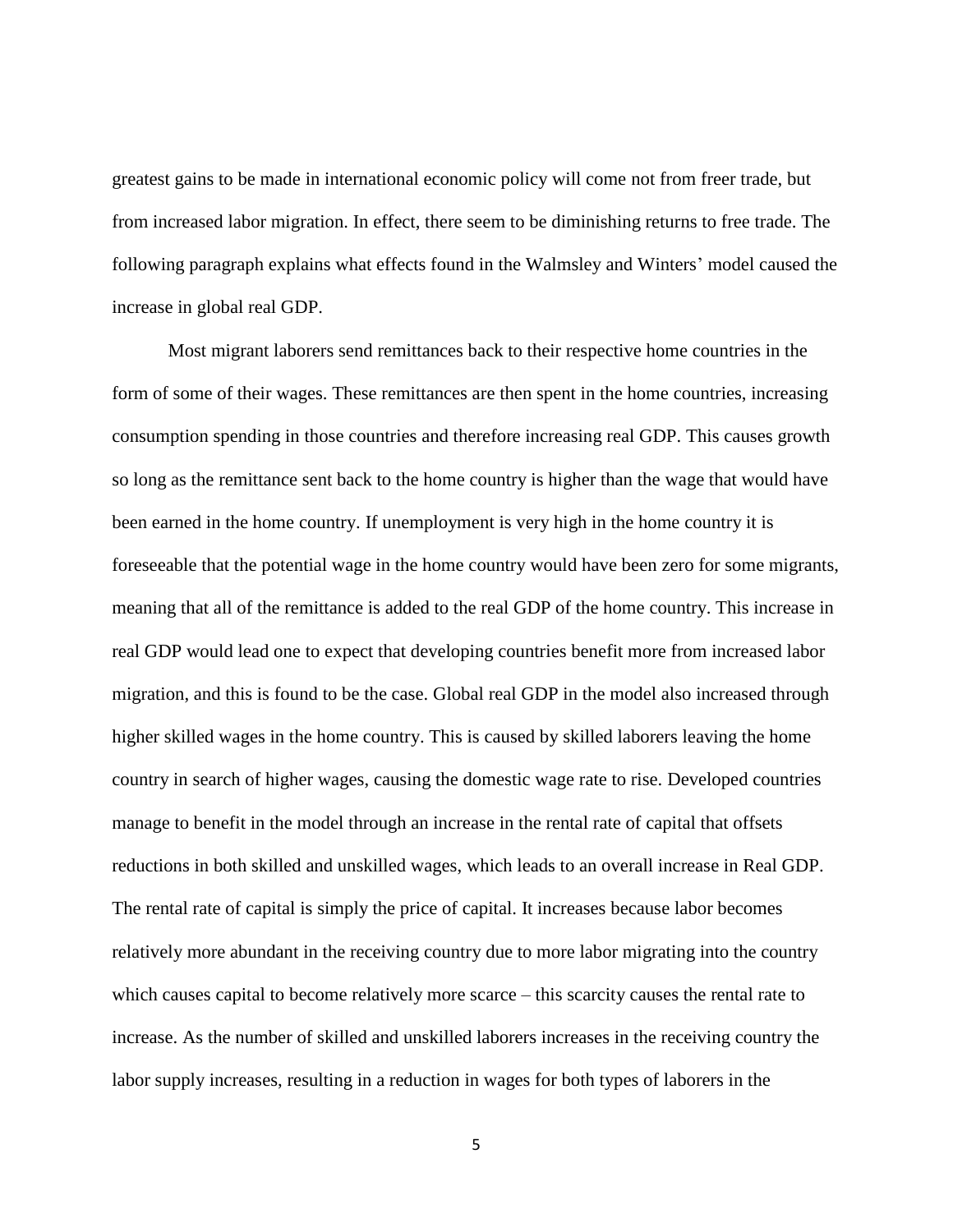greatest gains to be made in international economic policy will come not from freer trade, but from increased labor migration. In effect, there seem to be diminishing returns to free trade. The following paragraph explains what effects found in the Walmsley and Winters' model caused the increase in global real GDP.

Most migrant laborers send remittances back to their respective home countries in the form of some of their wages. These remittances are then spent in the home countries, increasing consumption spending in those countries and therefore increasing real GDP. This causes growth so long as the remittance sent back to the home country is higher than the wage that would have been earned in the home country. If unemployment is very high in the home country it is foreseeable that the potential wage in the home country would have been zero for some migrants, meaning that all of the remittance is added to the real GDP of the home country. This increase in real GDP would lead one to expect that developing countries benefit more from increased labor migration, and this is found to be the case. Global real GDP in the model also increased through higher skilled wages in the home country. This is caused by skilled laborers leaving the home country in search of higher wages, causing the domestic wage rate to rise. Developed countries manage to benefit in the model through an increase in the rental rate of capital that offsets reductions in both skilled and unskilled wages, which leads to an overall increase in Real GDP. The rental rate of capital is simply the price of capital. It increases because labor becomes relatively more abundant in the receiving country due to more labor migrating into the country which causes capital to become relatively more scarce – this scarcity causes the rental rate to increase. As the number of skilled and unskilled laborers increases in the receiving country the labor supply increases, resulting in a reduction in wages for both types of laborers in the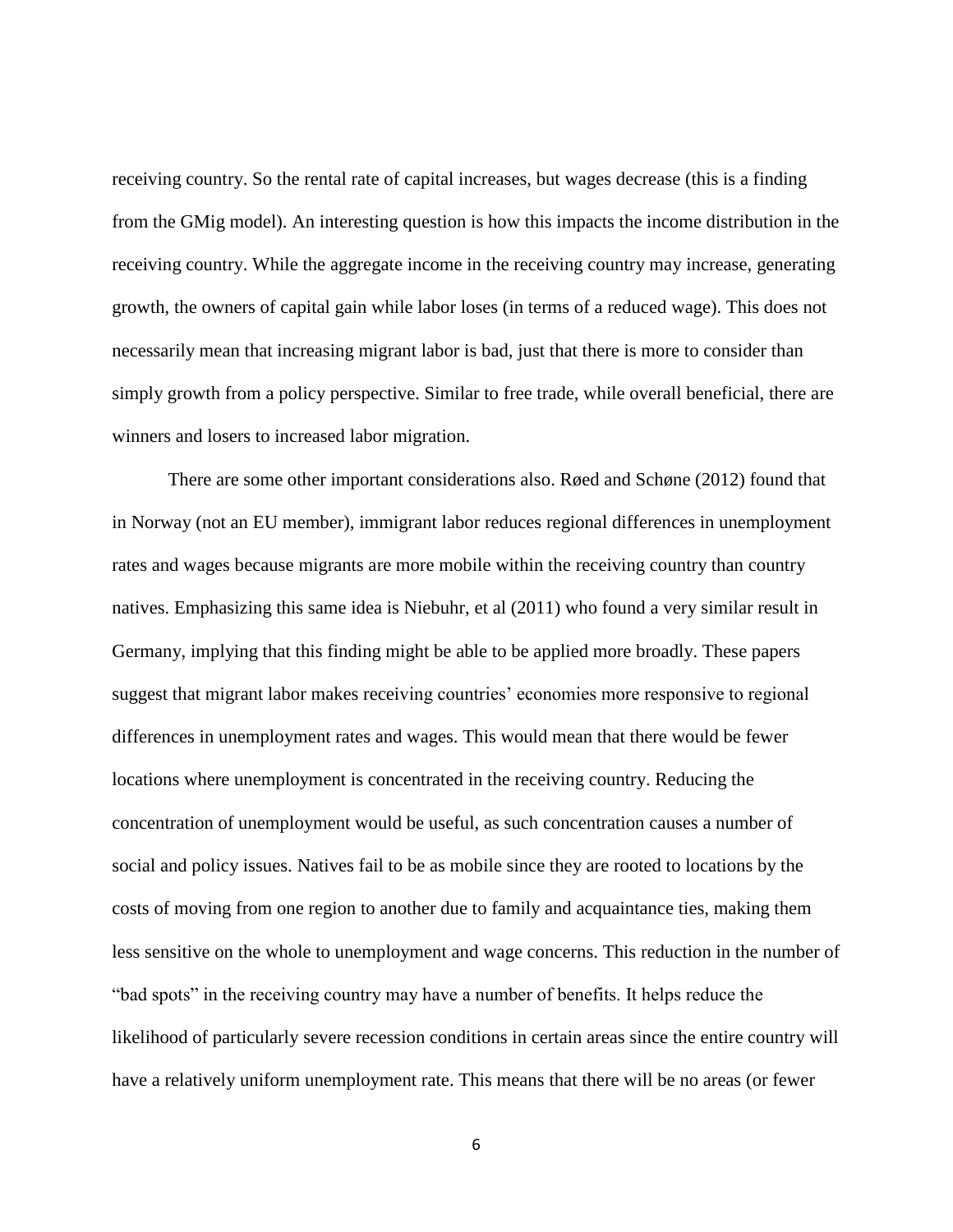receiving country. So the rental rate of capital increases, but wages decrease (this is a finding from the GMig model). An interesting question is how this impacts the income distribution in the receiving country. While the aggregate income in the receiving country may increase, generating growth, the owners of capital gain while labor loses (in terms of a reduced wage). This does not necessarily mean that increasing migrant labor is bad, just that there is more to consider than simply growth from a policy perspective. Similar to free trade, while overall beneficial, there are winners and losers to increased labor migration.

There are some other important considerations also. Røed and Schøne (2012) found that in Norway (not an EU member), immigrant labor reduces regional differences in unemployment rates and wages because migrants are more mobile within the receiving country than country natives. Emphasizing this same idea is Niebuhr, et al (2011) who found a very similar result in Germany, implying that this finding might be able to be applied more broadly. These papers suggest that migrant labor makes receiving countries' economies more responsive to regional differences in unemployment rates and wages. This would mean that there would be fewer locations where unemployment is concentrated in the receiving country. Reducing the concentration of unemployment would be useful, as such concentration causes a number of social and policy issues. Natives fail to be as mobile since they are rooted to locations by the costs of moving from one region to another due to family and acquaintance ties, making them less sensitive on the whole to unemployment and wage concerns. This reduction in the number of "bad spots" in the receiving country may have a number of benefits. It helps reduce the likelihood of particularly severe recession conditions in certain areas since the entire country will have a relatively uniform unemployment rate. This means that there will be no areas (or fewer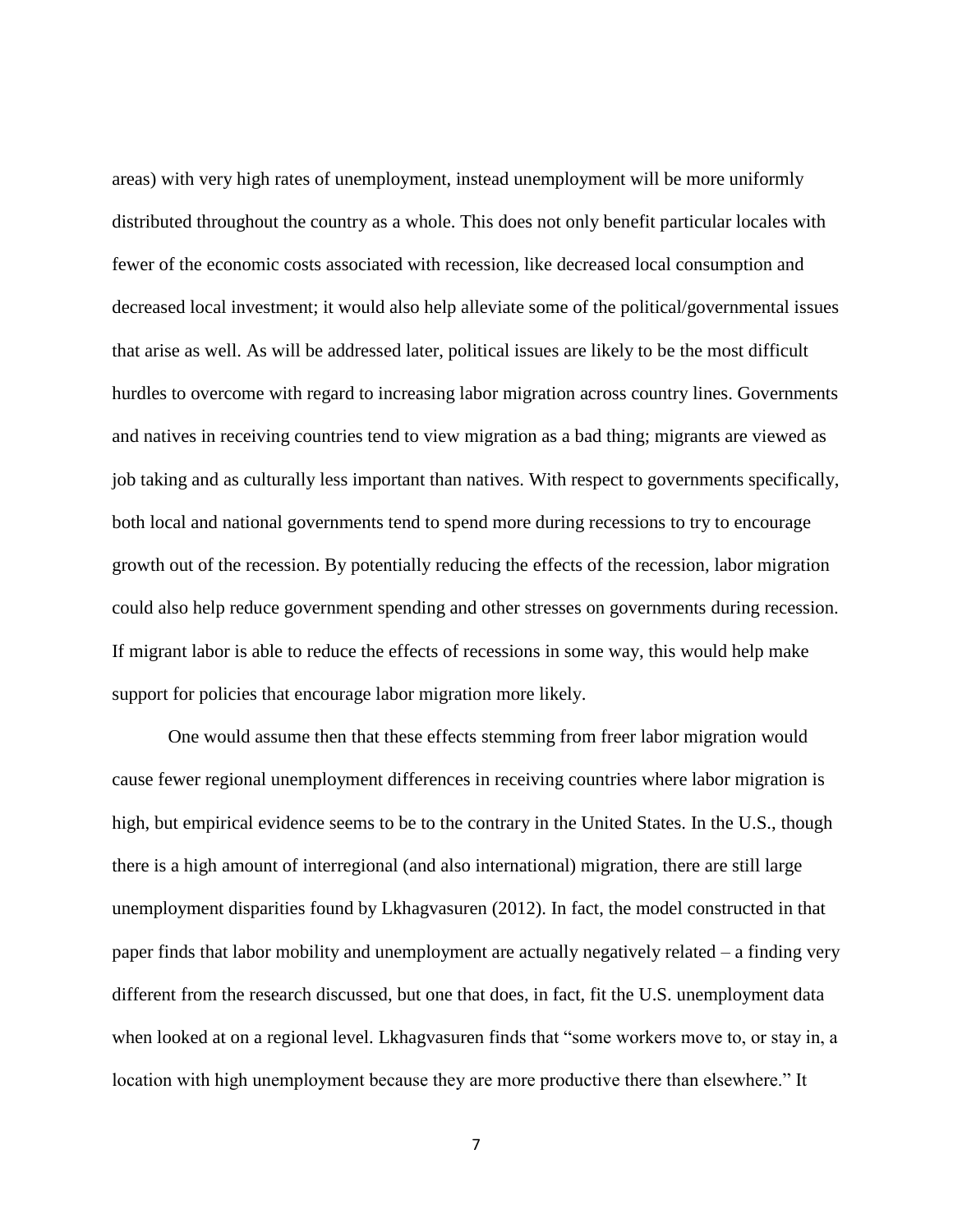areas) with very high rates of unemployment, instead unemployment will be more uniformly distributed throughout the country as a whole. This does not only benefit particular locales with fewer of the economic costs associated with recession, like decreased local consumption and decreased local investment; it would also help alleviate some of the political/governmental issues that arise as well. As will be addressed later, political issues are likely to be the most difficult hurdles to overcome with regard to increasing labor migration across country lines. Governments and natives in receiving countries tend to view migration as a bad thing; migrants are viewed as job taking and as culturally less important than natives. With respect to governments specifically, both local and national governments tend to spend more during recessions to try to encourage growth out of the recession. By potentially reducing the effects of the recession, labor migration could also help reduce government spending and other stresses on governments during recession. If migrant labor is able to reduce the effects of recessions in some way, this would help make support for policies that encourage labor migration more likely.

One would assume then that these effects stemming from freer labor migration would cause fewer regional unemployment differences in receiving countries where labor migration is high, but empirical evidence seems to be to the contrary in the United States. In the U.S., though there is a high amount of interregional (and also international) migration, there are still large unemployment disparities found by Lkhagvasuren (2012). In fact, the model constructed in that paper finds that labor mobility and unemployment are actually negatively related – a finding very different from the research discussed, but one that does, in fact, fit the U.S. unemployment data when looked at on a regional level. Lkhagvasuren finds that "some workers move to, or stay in, a location with high unemployment because they are more productive there than elsewhere." It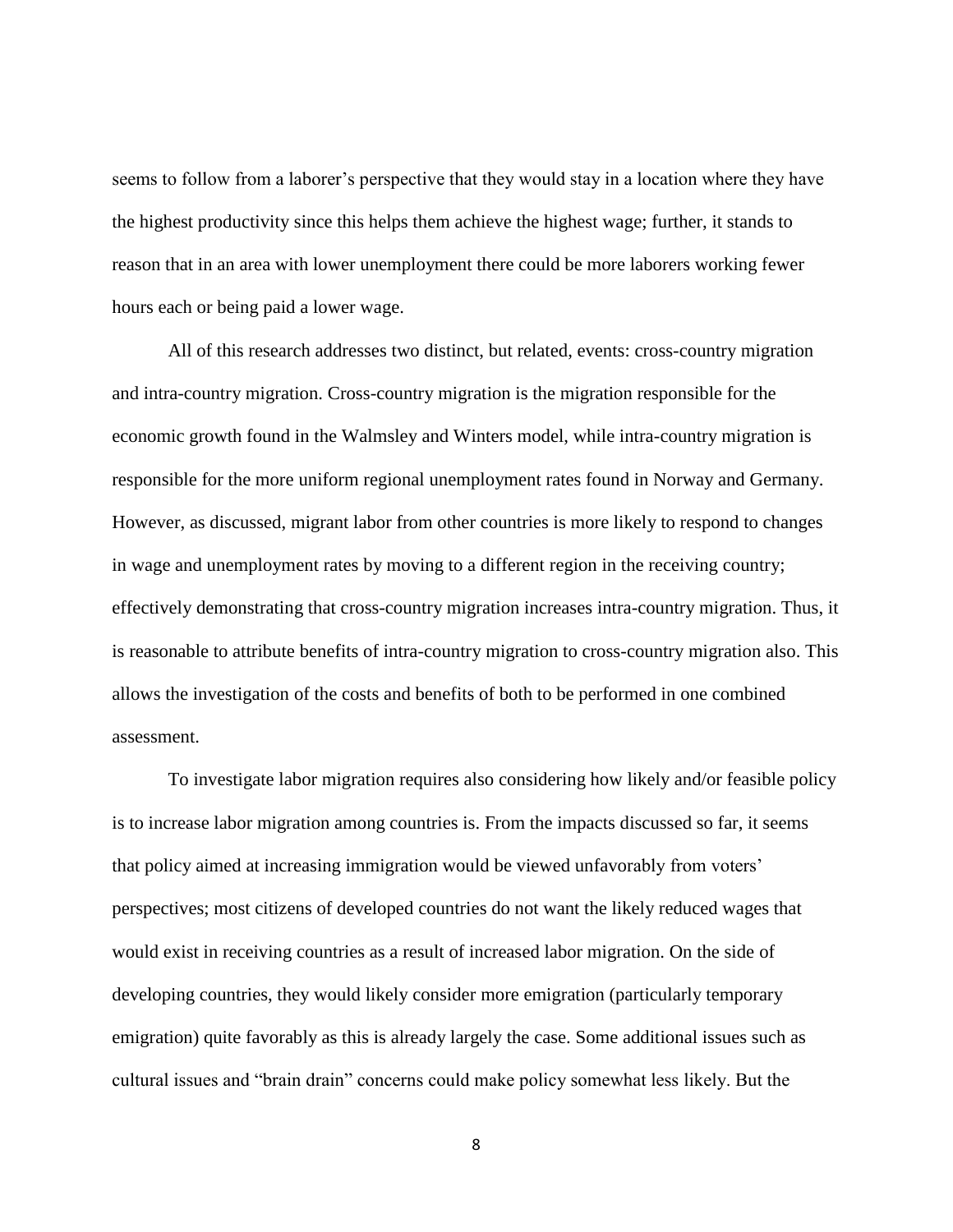seems to follow from a laborer's perspective that they would stay in a location where they have the highest productivity since this helps them achieve the highest wage; further, it stands to reason that in an area with lower unemployment there could be more laborers working fewer hours each or being paid a lower wage.

All of this research addresses two distinct, but related, events: cross-country migration and intra-country migration. Cross-country migration is the migration responsible for the economic growth found in the Walmsley and Winters model, while intra-country migration is responsible for the more uniform regional unemployment rates found in Norway and Germany. However, as discussed, migrant labor from other countries is more likely to respond to changes in wage and unemployment rates by moving to a different region in the receiving country; effectively demonstrating that cross-country migration increases intra-country migration. Thus, it is reasonable to attribute benefits of intra-country migration to cross-country migration also. This allows the investigation of the costs and benefits of both to be performed in one combined assessment.

To investigate labor migration requires also considering how likely and/or feasible policy is to increase labor migration among countries is. From the impacts discussed so far, it seems that policy aimed at increasing immigration would be viewed unfavorably from voters' perspectives; most citizens of developed countries do not want the likely reduced wages that would exist in receiving countries as a result of increased labor migration. On the side of developing countries, they would likely consider more emigration (particularly temporary emigration) quite favorably as this is already largely the case. Some additional issues such as cultural issues and "brain drain" concerns could make policy somewhat less likely. But the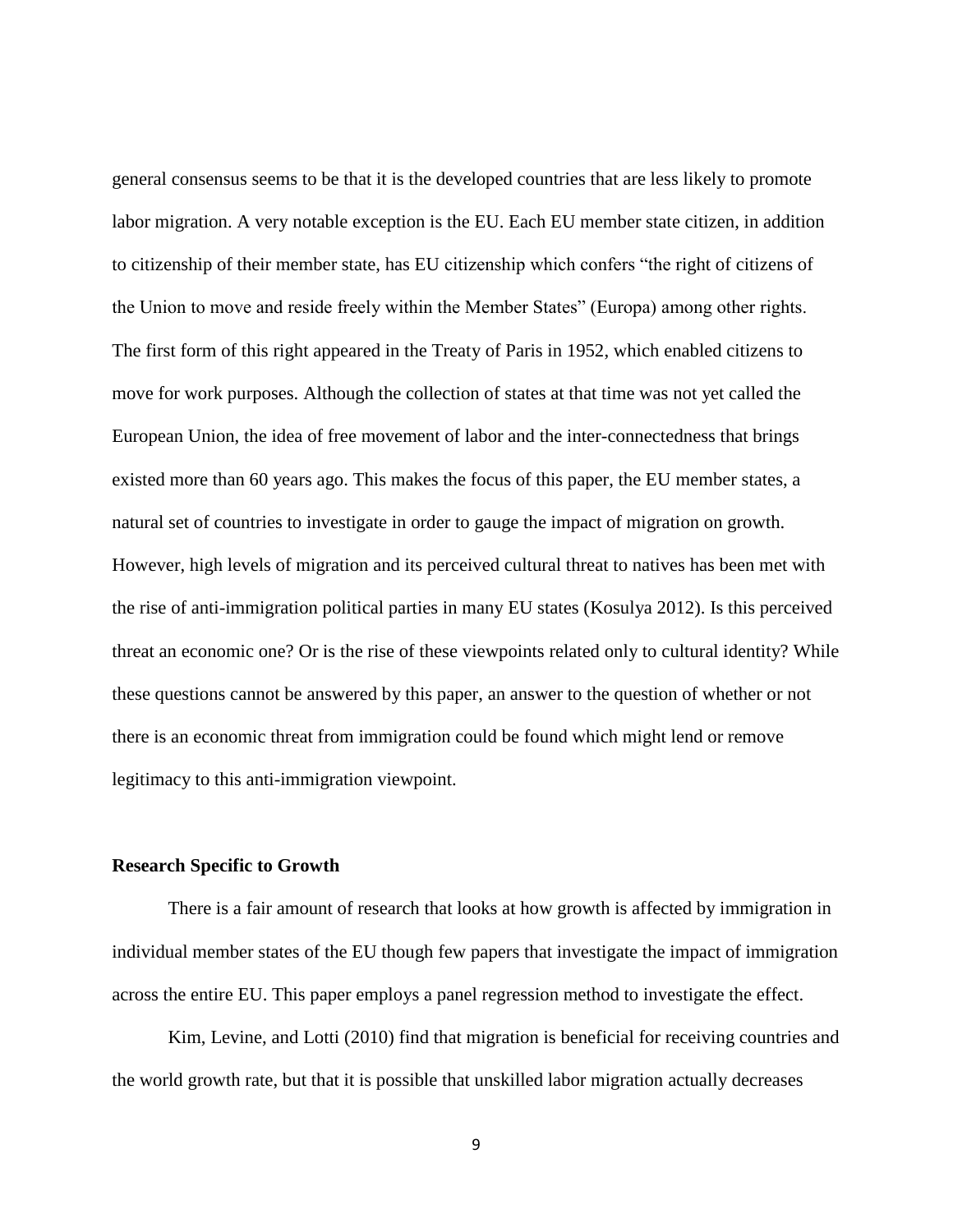general consensus seems to be that it is the developed countries that are less likely to promote labor migration. A very notable exception is the EU. Each EU member state citizen, in addition to citizenship of their member state, has EU citizenship which confers "the right of citizens of the Union to move and reside freely within the Member States" (Europa) among other rights. The first form of this right appeared in the Treaty of Paris in 1952, which enabled citizens to move for work purposes. Although the collection of states at that time was not yet called the European Union, the idea of free movement of labor and the inter-connectedness that brings existed more than 60 years ago. This makes the focus of this paper, the EU member states, a natural set of countries to investigate in order to gauge the impact of migration on growth. However, high levels of migration and its perceived cultural threat to natives has been met with the rise of anti-immigration political parties in many EU states (Kosulya 2012). Is this perceived threat an economic one? Or is the rise of these viewpoints related only to cultural identity? While these questions cannot be answered by this paper, an answer to the question of whether or not there is an economic threat from immigration could be found which might lend or remove legitimacy to this anti-immigration viewpoint.

#### <span id="page-15-0"></span>**Research Specific to Growth**

There is a fair amount of research that looks at how growth is affected by immigration in individual member states of the EU though few papers that investigate the impact of immigration across the entire EU. This paper employs a panel regression method to investigate the effect.

Kim, Levine, and Lotti (2010) find that migration is beneficial for receiving countries and the world growth rate, but that it is possible that unskilled labor migration actually decreases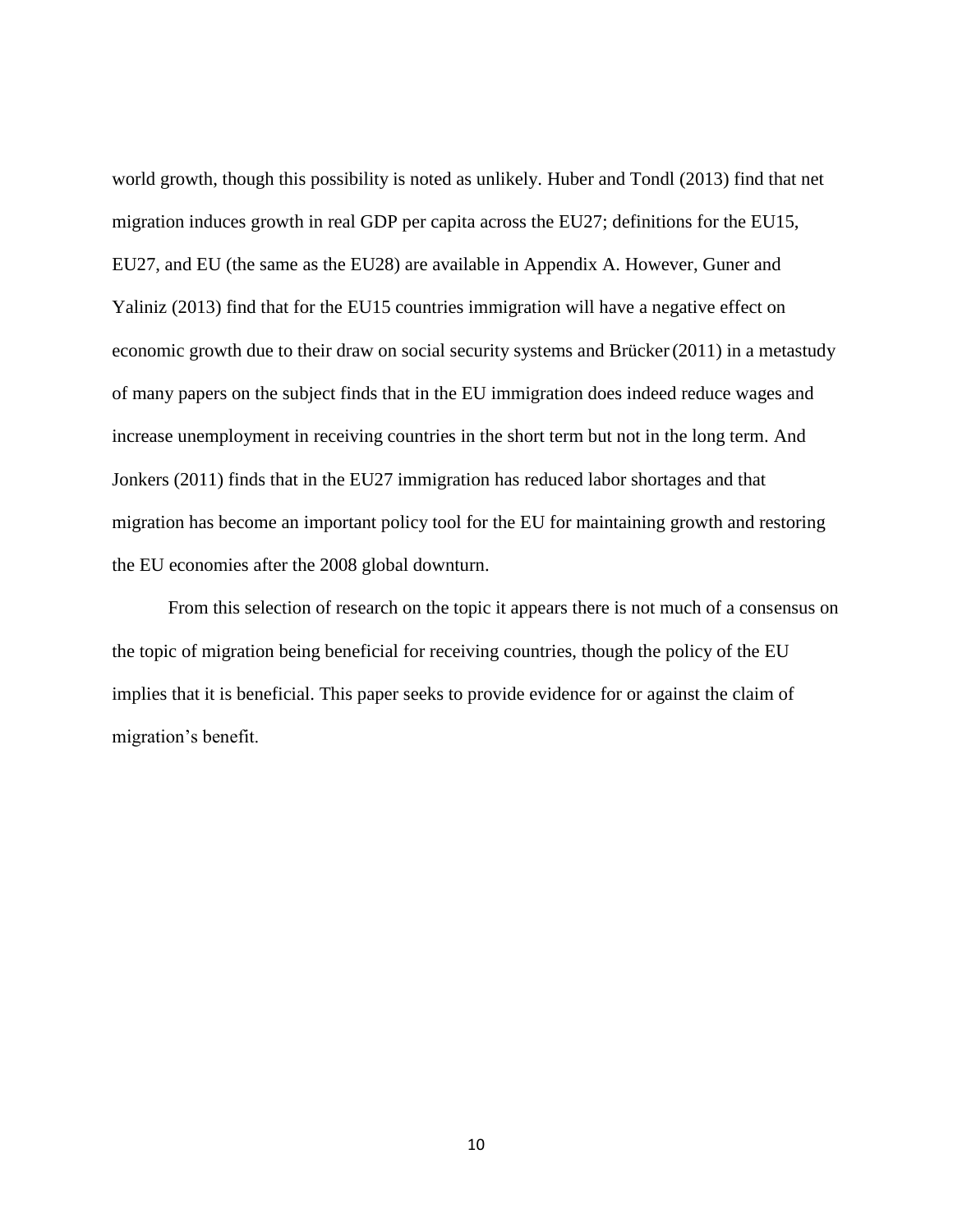world growth, though this possibility is noted as unlikely. Huber and Tondl (2013) find that net migration induces growth in real GDP per capita across the EU27; definitions for the EU15, EU27, and EU (the same as the EU28) are available in Appendix A. However, Guner and Yaliniz (2013) find that for the EU15 countries immigration will have a negative effect on economic growth due to their draw on social security systems and Brücker(2011) in a metastudy of many papers on the subject finds that in the EU immigration does indeed reduce wages and increase unemployment in receiving countries in the short term but not in the long term. And Jonkers (2011) finds that in the EU27 immigration has reduced labor shortages and that migration has become an important policy tool for the EU for maintaining growth and restoring the EU economies after the 2008 global downturn.

From this selection of research on the topic it appears there is not much of a consensus on the topic of migration being beneficial for receiving countries, though the policy of the EU implies that it is beneficial. This paper seeks to provide evidence for or against the claim of migration's benefit.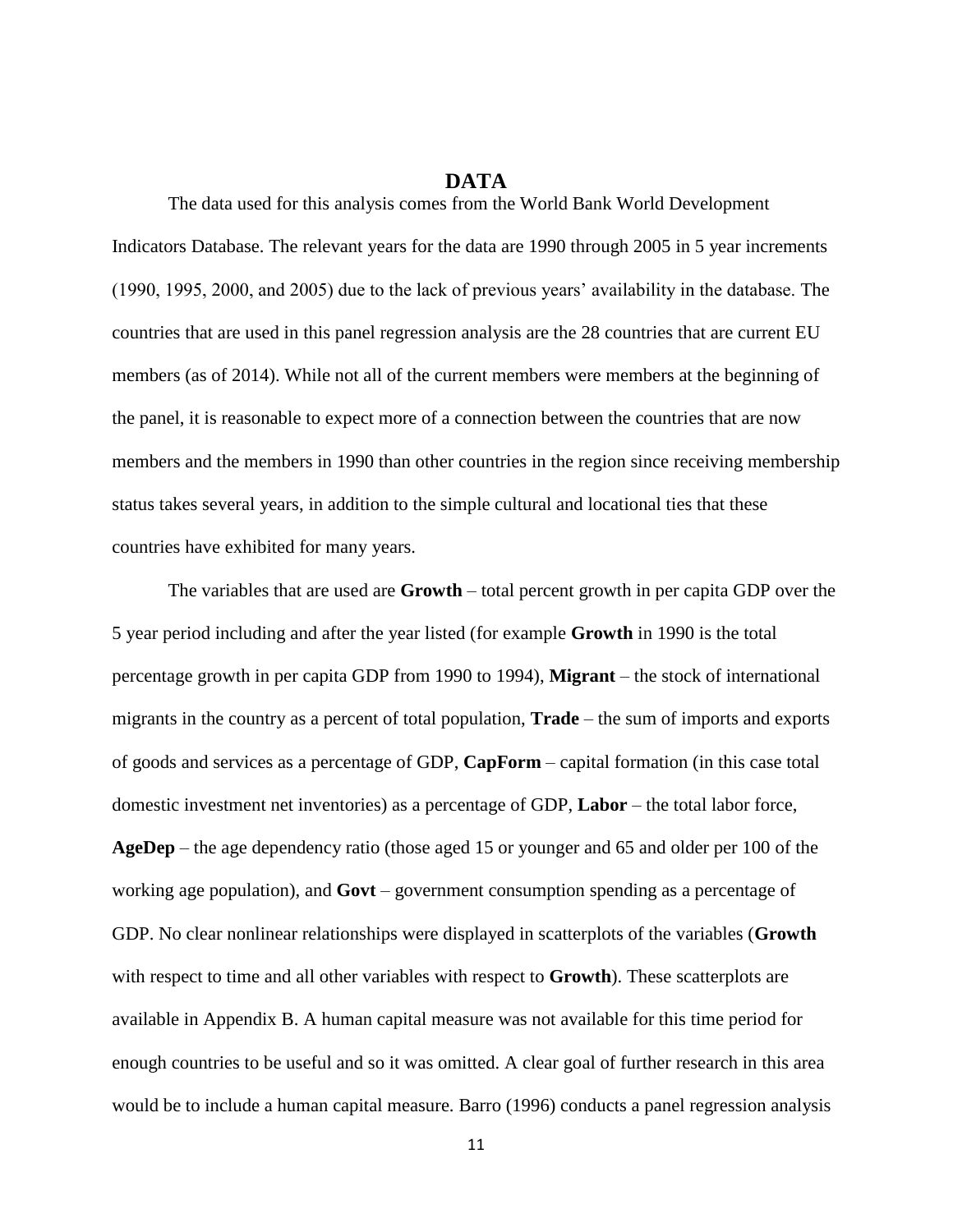#### **DATA**

<span id="page-17-0"></span>The data used for this analysis comes from the World Bank World Development Indicators Database. The relevant years for the data are 1990 through 2005 in 5 year increments (1990, 1995, 2000, and 2005) due to the lack of previous years' availability in the database. The countries that are used in this panel regression analysis are the 28 countries that are current EU members (as of 2014). While not all of the current members were members at the beginning of the panel, it is reasonable to expect more of a connection between the countries that are now members and the members in 1990 than other countries in the region since receiving membership status takes several years, in addition to the simple cultural and locational ties that these countries have exhibited for many years.

The variables that are used are **Growth** – total percent growth in per capita GDP over the 5 year period including and after the year listed (for example **Growth** in 1990 is the total percentage growth in per capita GDP from 1990 to 1994), **Migrant** – the stock of international migrants in the country as a percent of total population, **Trade** – the sum of imports and exports of goods and services as a percentage of GDP, **CapForm** – capital formation (in this case total domestic investment net inventories) as a percentage of GDP, **Labor** – the total labor force, **AgeDep** – the age dependency ratio (those aged 15 or younger and 65 and older per 100 of the working age population), and **Govt** – government consumption spending as a percentage of GDP. No clear nonlinear relationships were displayed in scatterplots of the variables (**Growth**  with respect to time and all other variables with respect to **Growth**). These scatterplots are available in Appendix B. A human capital measure was not available for this time period for enough countries to be useful and so it was omitted. A clear goal of further research in this area would be to include a human capital measure. Barro (1996) conducts a panel regression analysis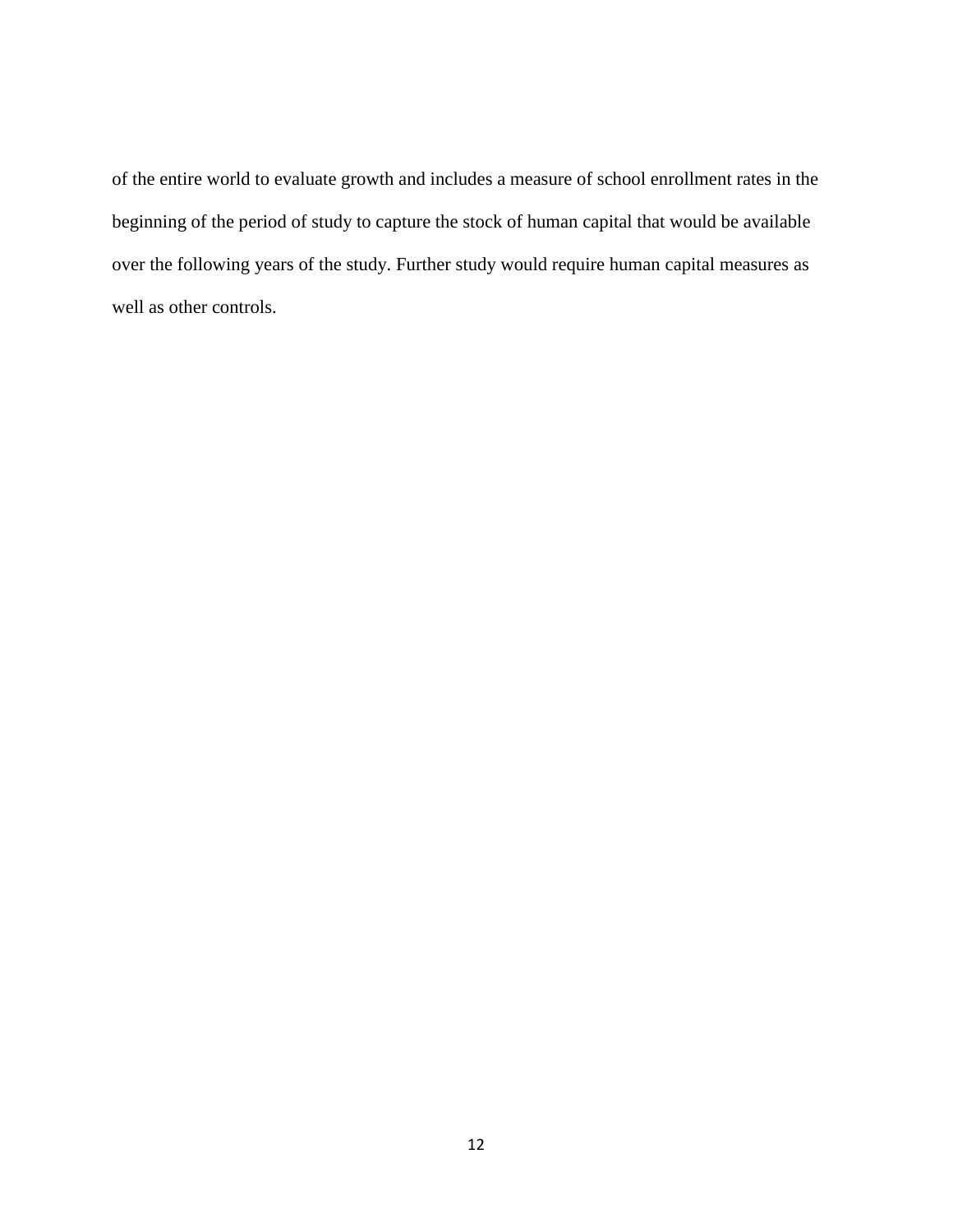of the entire world to evaluate growth and includes a measure of school enrollment rates in the beginning of the period of study to capture the stock of human capital that would be available over the following years of the study. Further study would require human capital measures as well as other controls.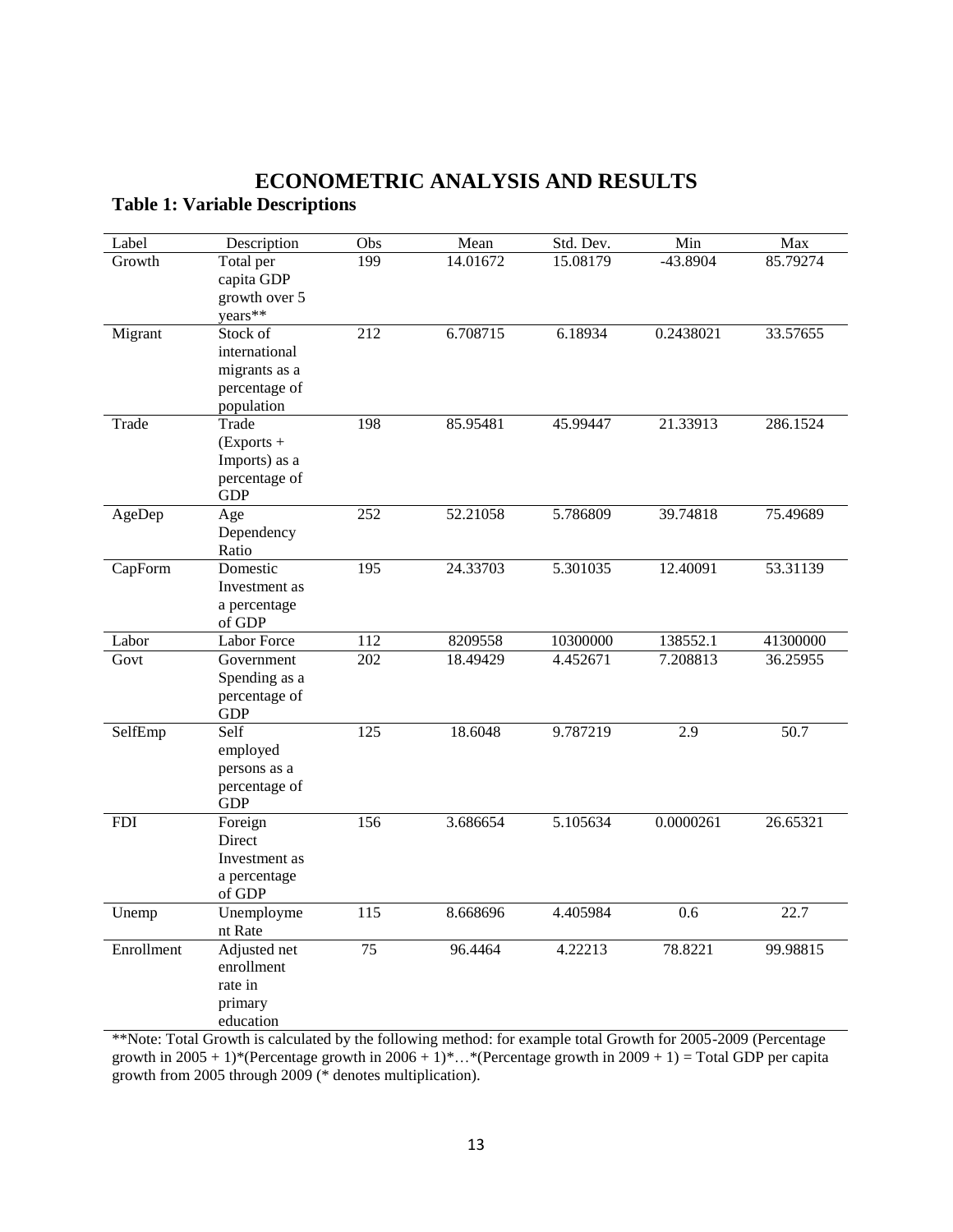## <span id="page-19-1"></span><span id="page-19-0"></span>**ECONOMETRIC ANALYSIS AND RESULTS Table 1: Variable Descriptions**

| Label      | Description   | Obs              | Mean     | Std. Dev. | Min        | Max      |
|------------|---------------|------------------|----------|-----------|------------|----------|
| Growth     | Total per     | 199              | 14.01672 | 15.08179  | $-43.8904$ | 85.79274 |
|            | capita GDP    |                  |          |           |            |          |
|            | growth over 5 |                  |          |           |            |          |
|            | years**       |                  |          |           |            |          |
| Migrant    | Stock of      | $\overline{212}$ | 6.708715 | 6.18934   | 0.2438021  | 33.57655 |
|            | international |                  |          |           |            |          |
|            | migrants as a |                  |          |           |            |          |
|            | percentage of |                  |          |           |            |          |
|            | population    |                  |          |           |            |          |
| Trade      | Trade         | 198              | 85.95481 | 45.99447  | 21.33913   | 286.1524 |
|            | $(Express +$  |                  |          |           |            |          |
|            | Imports) as a |                  |          |           |            |          |
|            | percentage of |                  |          |           |            |          |
|            | <b>GDP</b>    |                  |          |           |            |          |
| AgeDep     | Age           | 252              | 52.21058 | 5.786809  | 39.74818   | 75.49689 |
|            | Dependency    |                  |          |           |            |          |
|            | Ratio         |                  |          |           |            |          |
| CapForm    | Domestic      | 195              | 24.33703 | 5.301035  | 12.40091   | 53.31139 |
|            | Investment as |                  |          |           |            |          |
|            | a percentage  |                  |          |           |            |          |
|            | of GDP        |                  |          |           |            |          |
| Labor      | Labor Force   | 112              | 8209558  | 10300000  | 138552.1   | 41300000 |
| Govt       | Government    | 202              | 18.49429 | 4.452671  | 7.208813   | 36.25955 |
|            | Spending as a |                  |          |           |            |          |
|            | percentage of |                  |          |           |            |          |
|            | <b>GDP</b>    |                  |          |           |            |          |
| SelfEmp    | Self          | 125              | 18.6048  | 9.787219  | 2.9        | 50.7     |
|            | employed      |                  |          |           |            |          |
|            | persons as a  |                  |          |           |            |          |
|            | percentage of |                  |          |           |            |          |
|            | <b>GDP</b>    |                  |          |           |            |          |
| <b>FDI</b> | Foreign       | 156              | 3.686654 | 5.105634  | 0.0000261  | 26.65321 |
|            | Direct        |                  |          |           |            |          |
|            | Investment as |                  |          |           |            |          |
|            | a percentage  |                  |          |           |            |          |
|            | of GDP        |                  |          |           |            |          |
| Unemp      | Unemployme    | 115              | 8.668696 | 4.405984  | 0.6        | 22.7     |
|            | nt Rate       |                  |          |           |            |          |
| Enrollment | Adjusted net  | 75               | 96.4464  | 4.22213   | 78.8221    | 99.98815 |
|            | enrollment    |                  |          |           |            |          |
|            | rate in       |                  |          |           |            |          |
|            | primary       |                  |          |           |            |          |
|            | education     |                  |          |           |            |          |

\*\*Note: Total Growth is calculated by the following method: for example total Growth for 2005-2009 (Percentage growth in 2005 + 1)\*(Percentage growth in 2006 + 1)\*...\*(Percentage growth in 2009 + 1) = Total GDP per capita growth from 2005 through 2009 (\* denotes multiplication).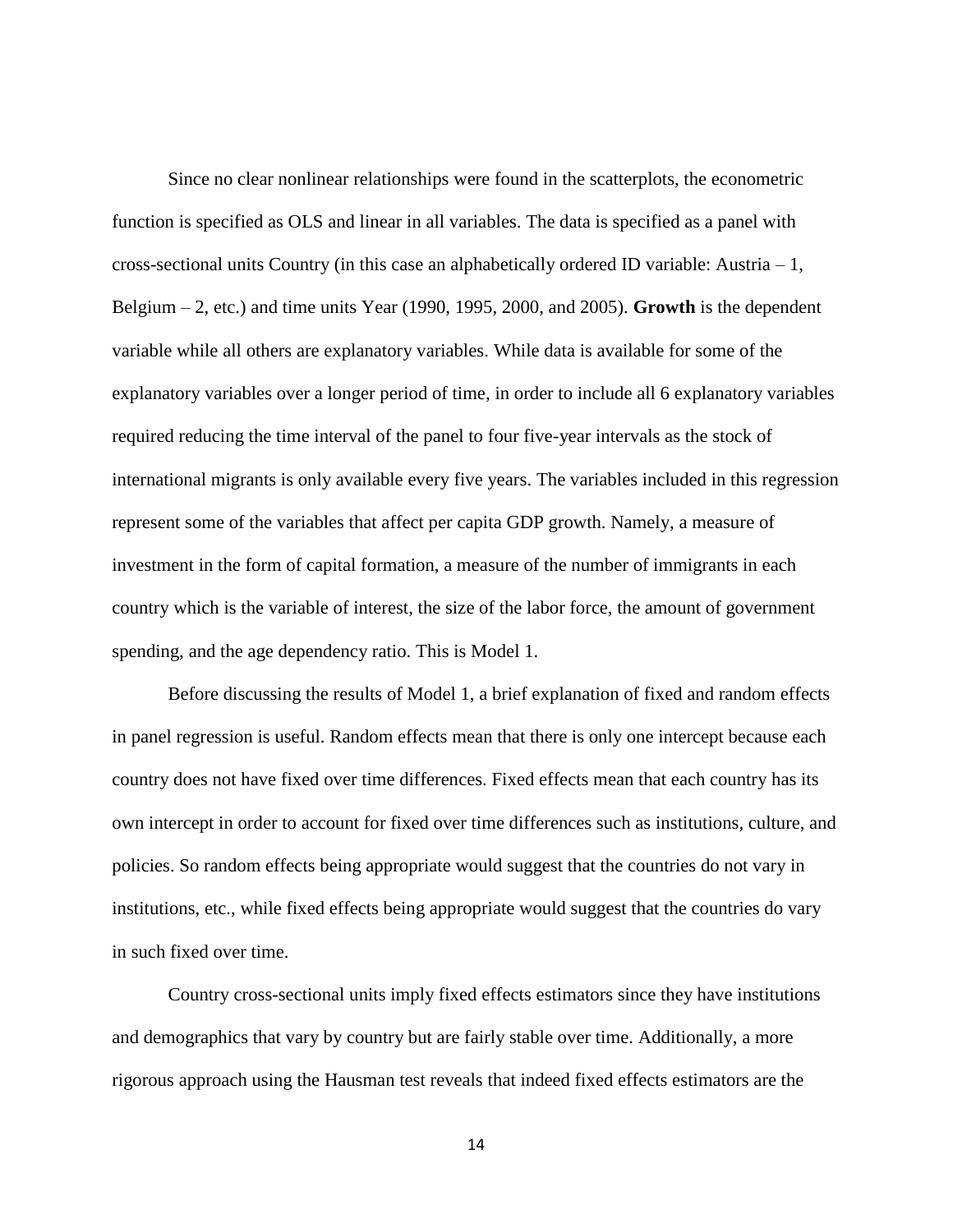Since no clear nonlinear relationships were found in the scatterplots, the econometric function is specified as OLS and linear in all variables. The data is specified as a panel with cross-sectional units Country (in this case an alphabetically ordered ID variable: Austria  $-1$ , Belgium – 2, etc.) and time units Year (1990, 1995, 2000, and 2005). **Growth** is the dependent variable while all others are explanatory variables. While data is available for some of the explanatory variables over a longer period of time, in order to include all 6 explanatory variables required reducing the time interval of the panel to four five-year intervals as the stock of international migrants is only available every five years. The variables included in this regression represent some of the variables that affect per capita GDP growth. Namely, a measure of investment in the form of capital formation, a measure of the number of immigrants in each country which is the variable of interest, the size of the labor force, the amount of government spending, and the age dependency ratio. This is Model 1.

Before discussing the results of Model 1, a brief explanation of fixed and random effects in panel regression is useful. Random effects mean that there is only one intercept because each country does not have fixed over time differences. Fixed effects mean that each country has its own intercept in order to account for fixed over time differences such as institutions, culture, and policies. So random effects being appropriate would suggest that the countries do not vary in institutions, etc., while fixed effects being appropriate would suggest that the countries do vary in such fixed over time.

Country cross-sectional units imply fixed effects estimators since they have institutions and demographics that vary by country but are fairly stable over time. Additionally, a more rigorous approach using the Hausman test reveals that indeed fixed effects estimators are the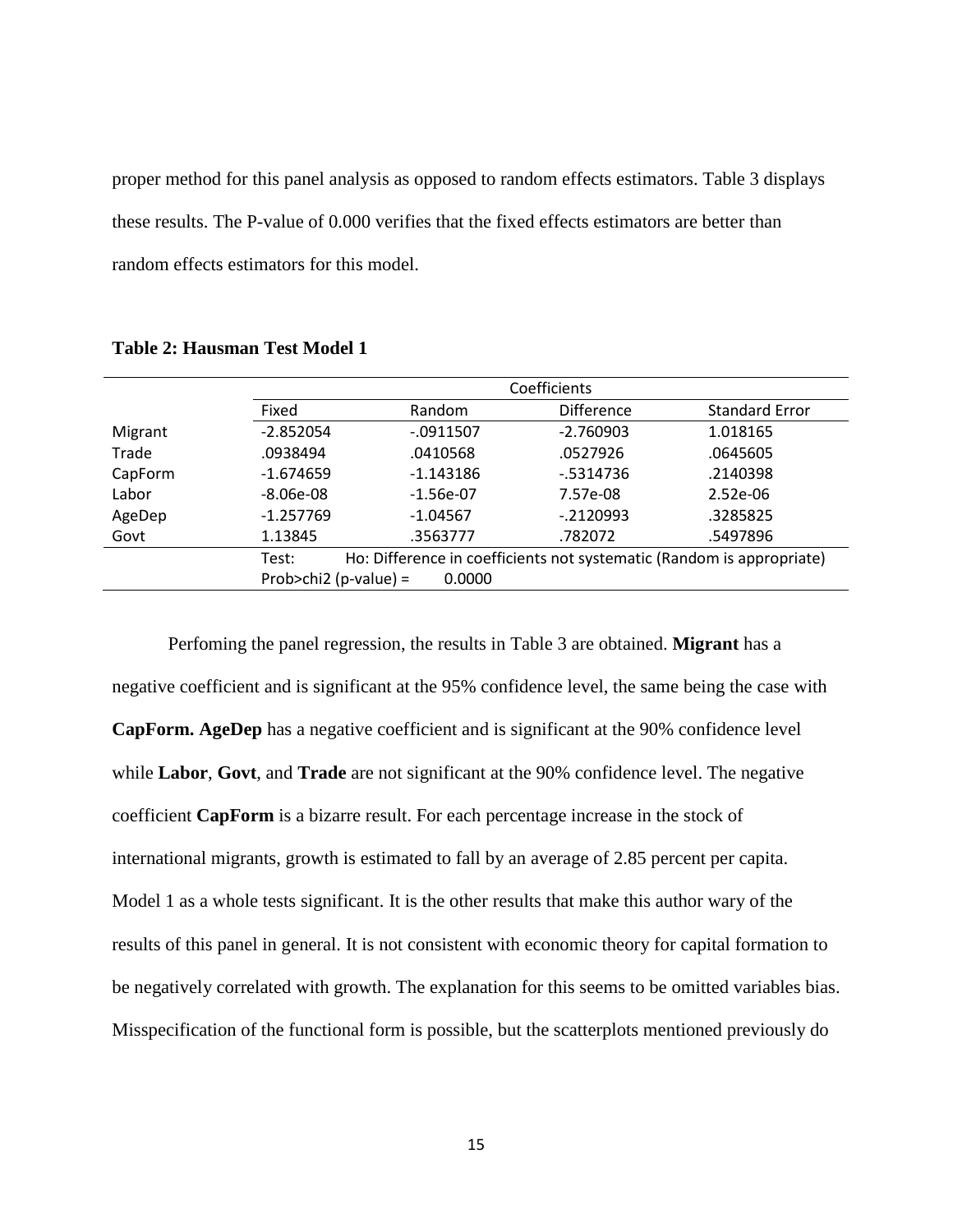proper method for this panel analysis as opposed to random effects estimators. Table 3 displays these results. The P-value of 0.000 verifies that the fixed effects estimators are better than random effects estimators for this model.

|         | Coefficients          |             |                   |                                                                       |  |
|---------|-----------------------|-------------|-------------------|-----------------------------------------------------------------------|--|
|         | Fixed                 | Random      | <b>Difference</b> | <b>Standard Error</b>                                                 |  |
| Migrant | $-2.852054$           | $-0911507$  | $-2.760903$       | 1.018165                                                              |  |
| Trade   | .0938494              | .0410568    | .0527926          | .0645605                                                              |  |
| CapForm | $-1.674659$           | $-1.143186$ | $-5314736$        | .2140398                                                              |  |
| Labor   | $-8.06e-08$           | $-1.56e-07$ | 7.57e-08          | $2.52e-06$                                                            |  |
| AgeDep  | $-1.257769$           | $-1.04567$  | $-0.2120993$      | .3285825                                                              |  |
| Govt    | 1.13845               | .3563777    | .782072           | .5497896                                                              |  |
|         | Test:                 |             |                   | Ho: Difference in coefficients not systematic (Random is appropriate) |  |
|         | Prob>chi2 (p-value) = | 0.0000      |                   |                                                                       |  |

<span id="page-21-0"></span>**Table 2: Hausman Test Model 1**

Perfoming the panel regression, the results in Table 3 are obtained. **Migrant** has a negative coefficient and is significant at the 95% confidence level, the same being the case with **CapForm. AgeDep** has a negative coefficient and is significant at the 90% confidence level while **Labor**, **Govt**, and **Trade** are not significant at the 90% confidence level. The negative coefficient **CapForm** is a bizarre result. For each percentage increase in the stock of international migrants, growth is estimated to fall by an average of 2.85 percent per capita. Model 1 as a whole tests significant. It is the other results that make this author wary of the results of this panel in general. It is not consistent with economic theory for capital formation to be negatively correlated with growth. The explanation for this seems to be omitted variables bias. Misspecification of the functional form is possible, but the scatterplots mentioned previously do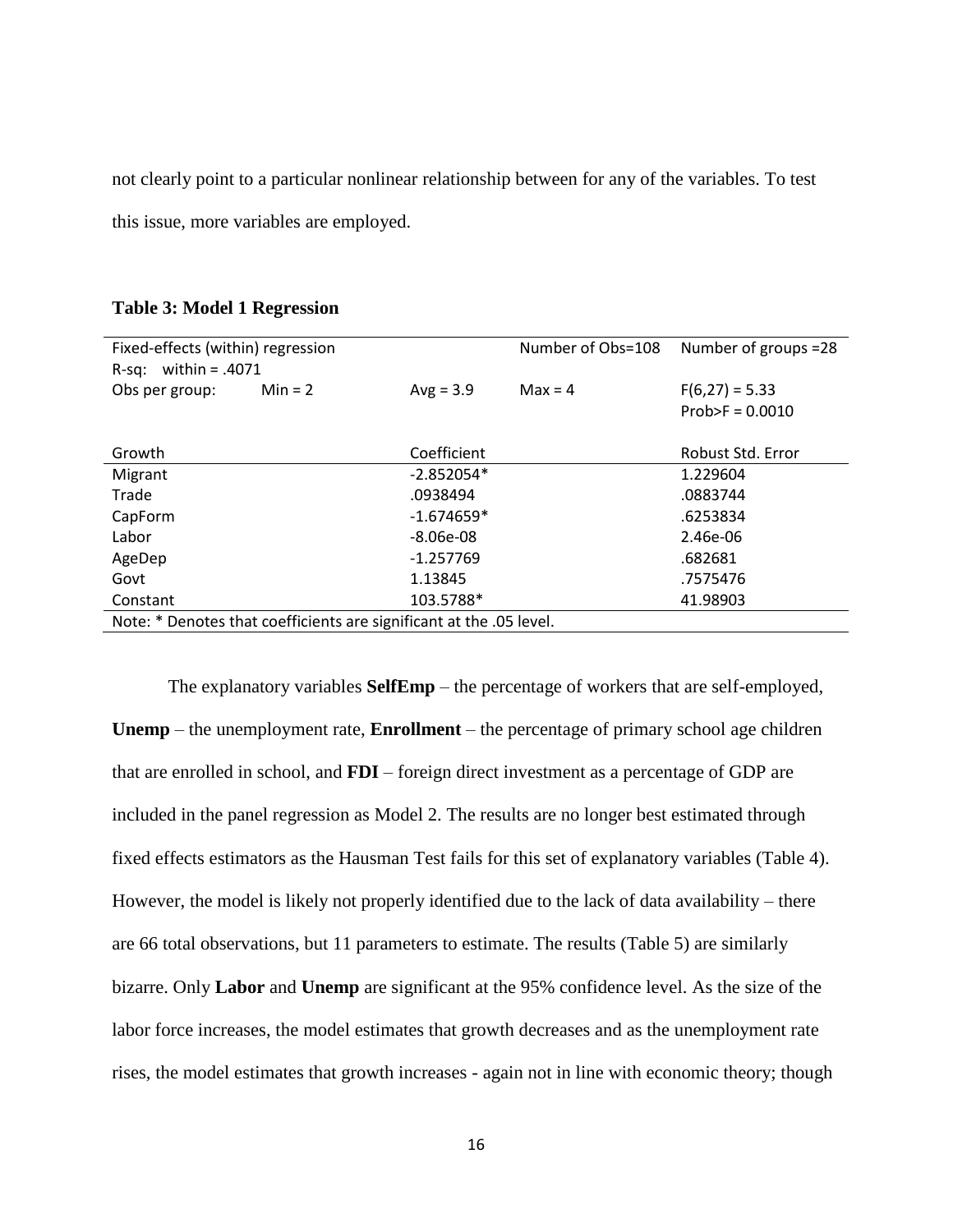not clearly point to a particular nonlinear relationship between for any of the variables. To test this issue, more variables are employed.

| Fixed-effects (within) regression |                                                                     |              | Number of Obs=108 | Number of groups =28 |
|-----------------------------------|---------------------------------------------------------------------|--------------|-------------------|----------------------|
| R-sq: within = $.4071$            |                                                                     |              |                   |                      |
| Obs per group:                    | $Min = 2$                                                           | $Avg = 3.9$  | $Max = 4$         | $F(6,27) = 5.33$     |
|                                   |                                                                     |              |                   | $Prob > F = 0.0010$  |
|                                   |                                                                     |              |                   |                      |
|                                   |                                                                     |              |                   |                      |
| Growth                            |                                                                     | Coefficient  |                   | Robust Std. Error    |
| Migrant                           |                                                                     | $-2.852054*$ |                   | 1.229604             |
| Trade                             |                                                                     | .0938494     |                   | .0883744             |
| CapForm                           |                                                                     | $-1.674659*$ |                   | .6253834             |
| Labor                             |                                                                     | $-8.06e-08$  |                   | 2.46e-06             |
| AgeDep                            |                                                                     | $-1.257769$  |                   | .682681              |
| Govt                              |                                                                     | 1.13845      |                   | .7575476             |
| Constant                          |                                                                     | 103.5788*    |                   | 41.98903             |
|                                   | Note: * Denotes that coefficients are significant at the .05 level. |              |                   |                      |

#### <span id="page-22-0"></span>**Table 3: Model 1 Regression**

The explanatory variables **SelfEmp** – the percentage of workers that are self-employed, **Unemp** – the unemployment rate, **Enrollment** – the percentage of primary school age children that are enrolled in school, and **FDI** – foreign direct investment as a percentage of GDP are included in the panel regression as Model 2. The results are no longer best estimated through fixed effects estimators as the Hausman Test fails for this set of explanatory variables (Table 4). However, the model is likely not properly identified due to the lack of data availability – there are 66 total observations, but 11 parameters to estimate. The results (Table 5) are similarly bizarre. Only **Labor** and **Unemp** are significant at the 95% confidence level. As the size of the labor force increases, the model estimates that growth decreases and as the unemployment rate rises, the model estimates that growth increases - again not in line with economic theory; though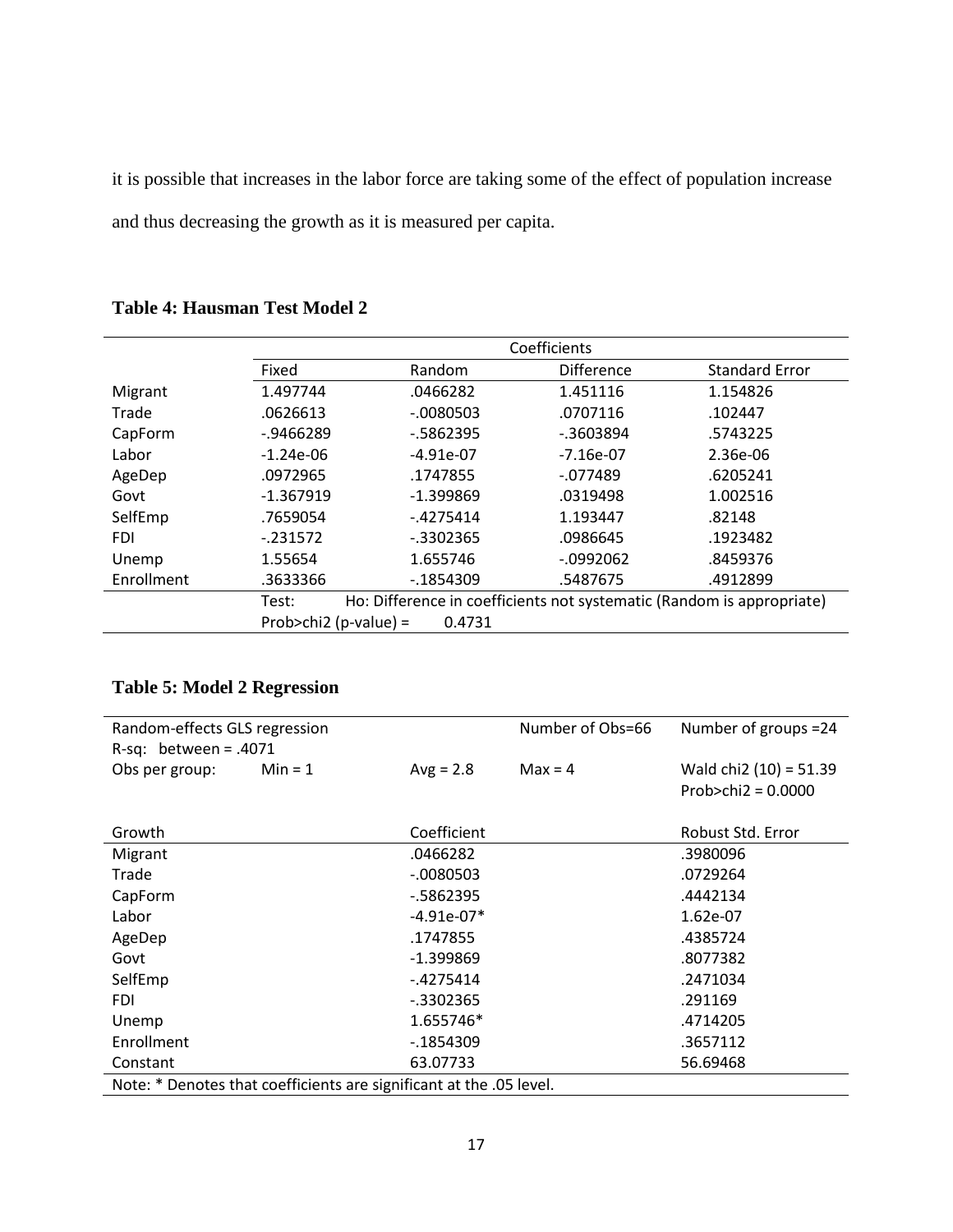it is possible that increases in the labor force are taking some of the effect of population increase and thus decreasing the growth as it is measured per capita.

|            |                       | Coefficients |                   |                                                                       |  |
|------------|-----------------------|--------------|-------------------|-----------------------------------------------------------------------|--|
|            | Fixed                 | Random       | <b>Difference</b> | <b>Standard Error</b>                                                 |  |
| Migrant    | 1.497744              | .0466282     | 1.451116          | 1.154826                                                              |  |
| Trade      | .0626613              | $-0080503$   | .0707116          | .102447                                                               |  |
| CapForm    | $-0.9466289$          | $-5862395$   | $-0.3603894$      | .5743225                                                              |  |
| Labor      | $-1.24e-06$           | $-4.91e-07$  | $-7.16e-07$       | 2.36e-06                                                              |  |
| AgeDep     | .0972965              | .1747855     | $-077489$         | .6205241                                                              |  |
| Govt       | $-1.367919$           | $-1.399869$  | .0319498          | 1.002516                                                              |  |
| SelfEmp    | .7659054              | $-4275414$   | 1.193447          | .82148                                                                |  |
| <b>FDI</b> | $-231572$             | $-0.3302365$ | .0986645          | .1923482                                                              |  |
| Unemp      | 1.55654               | 1.655746     | $-0992062$        | .8459376                                                              |  |
| Enrollment | .3633366              | $-1854309$   | .5487675          | .4912899                                                              |  |
|            | Test:                 |              |                   | Ho: Difference in coefficients not systematic (Random is appropriate) |  |
|            | Prob>chi2 (p-value) = | 0.4731       |                   |                                                                       |  |

#### <span id="page-23-0"></span>**Table 4: Hausman Test Model 2**

### <span id="page-23-1"></span>**Table 5: Model 2 Regression**

| Random-effects GLS regression |                                                                     |              | Number of Obs=66 | Number of groups = 24    |
|-------------------------------|---------------------------------------------------------------------|--------------|------------------|--------------------------|
| R-sq: between = $.4071$       |                                                                     |              |                  |                          |
| Obs per group:                | $Min = 1$                                                           | $Avg = 2.8$  | $Max = 4$        | Wald chi2 $(10) = 51.39$ |
|                               |                                                                     |              |                  | Prob>chi2 = $0.0000$     |
|                               |                                                                     |              |                  |                          |
| Growth                        |                                                                     | Coefficient  |                  | Robust Std. Error        |
| Migrant                       |                                                                     | .0466282     |                  | .3980096                 |
| Trade                         |                                                                     | $-0.080503$  |                  | .0729264                 |
| CapForm                       |                                                                     | $-5862395$   |                  | .4442134                 |
| Labor                         |                                                                     | $-4.91e-07*$ |                  | 1.62e-07                 |
| AgeDep                        |                                                                     | .1747855     |                  | .4385724                 |
| Govt                          |                                                                     | $-1.399869$  |                  | .8077382                 |
| SelfEmp                       |                                                                     | $-4275414$   |                  | .2471034                 |
| <b>FDI</b>                    |                                                                     | $-0.3302365$ |                  | .291169                  |
| Unemp                         |                                                                     | 1.655746*    |                  | .4714205                 |
| Enrollment                    |                                                                     | $-1854309$   |                  | .3657112                 |
| Constant                      |                                                                     | 63.07733     |                  | 56.69468                 |
|                               | Note: * Denotes that coefficients are significant at the .05 level. |              |                  |                          |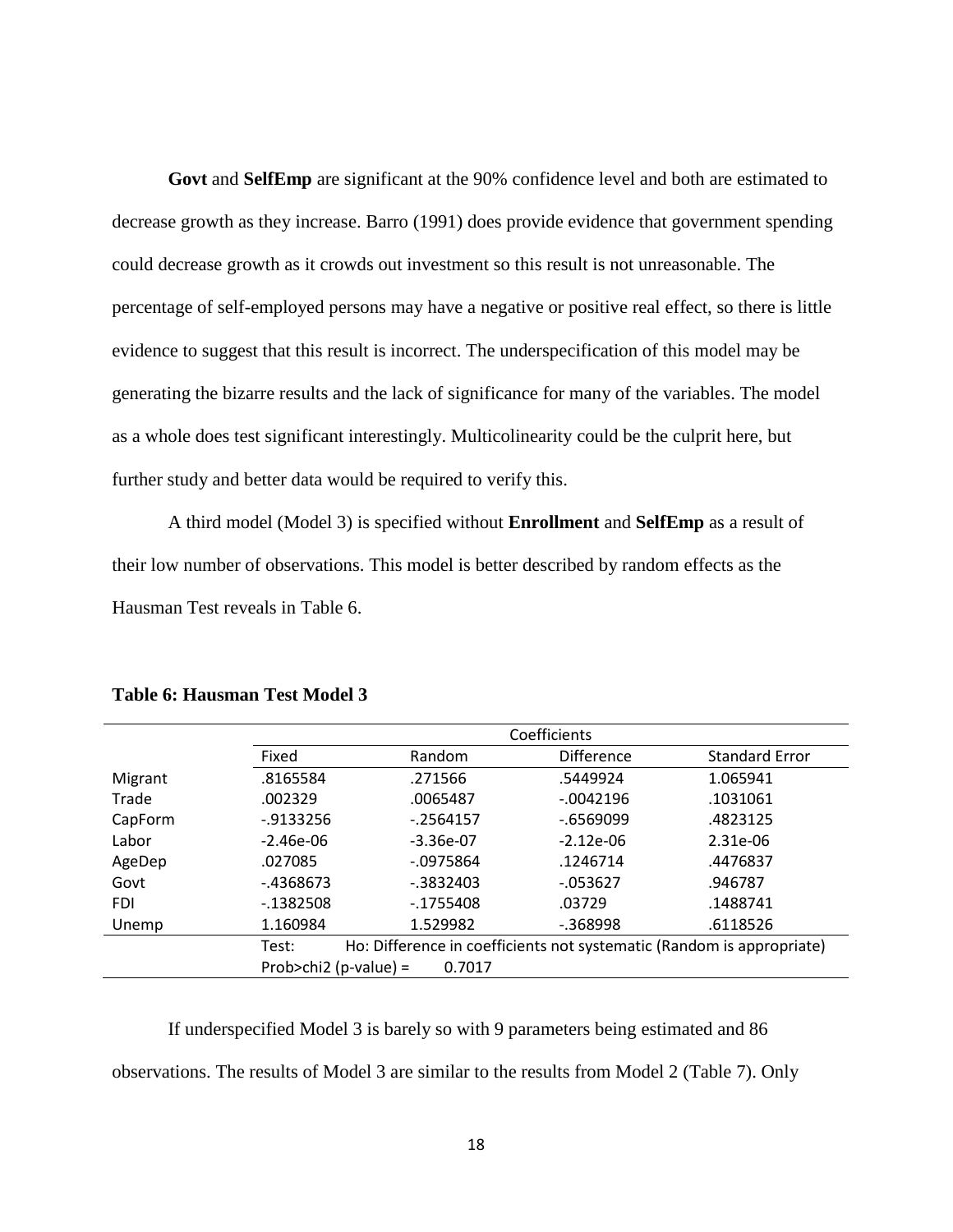**Govt** and **SelfEmp** are significant at the 90% confidence level and both are estimated to decrease growth as they increase. Barro (1991) does provide evidence that government spending could decrease growth as it crowds out investment so this result is not unreasonable. The percentage of self-employed persons may have a negative or positive real effect, so there is little evidence to suggest that this result is incorrect. The underspecification of this model may be generating the bizarre results and the lack of significance for many of the variables. The model as a whole does test significant interestingly. Multicolinearity could be the culprit here, but further study and better data would be required to verify this.

A third model (Model 3) is specified without **Enrollment** and **SelfEmp** as a result of their low number of observations. This model is better described by random effects as the Hausman Test reveals in Table 6.

|            | Coefficients          |              |                                                                       |                       |
|------------|-----------------------|--------------|-----------------------------------------------------------------------|-----------------------|
|            | Fixed                 | Random       | <b>Difference</b>                                                     | <b>Standard Error</b> |
| Migrant    | .8165584              | .271566      | .5449924                                                              | 1.065941              |
| Trade      | .002329               | .0065487     | $-0042196$                                                            | .1031061              |
| CapForm    | $-0.9133256$          | $-2564157$   | $-0.6569099$                                                          | .4823125              |
| Labor      | $-2.46e-06$           | $-3.36e-07$  | $-2.12e-06$                                                           | 2.31e-06              |
| AgeDep     | .027085               | $-0975864$   | .1246714                                                              | .4476837              |
| Govt       | $-4368673$            | $-0.3832403$ | $-053627$                                                             | .946787               |
| <b>FDI</b> | $-1382508$            | $-1755408$   | .03729                                                                | .1488741              |
| Unemp      | 1.160984              | 1.529982     | $-0.368998$                                                           | .6118526              |
|            | Test:                 |              | Ho: Difference in coefficients not systematic (Random is appropriate) |                       |
|            | Prob>chi2 (p-value) = | 0.7017       |                                                                       |                       |

#### <span id="page-24-0"></span>**Table 6: Hausman Test Model 3**

If underspecified Model 3 is barely so with 9 parameters being estimated and 86 observations. The results of Model 3 are similar to the results from Model 2 (Table 7). Only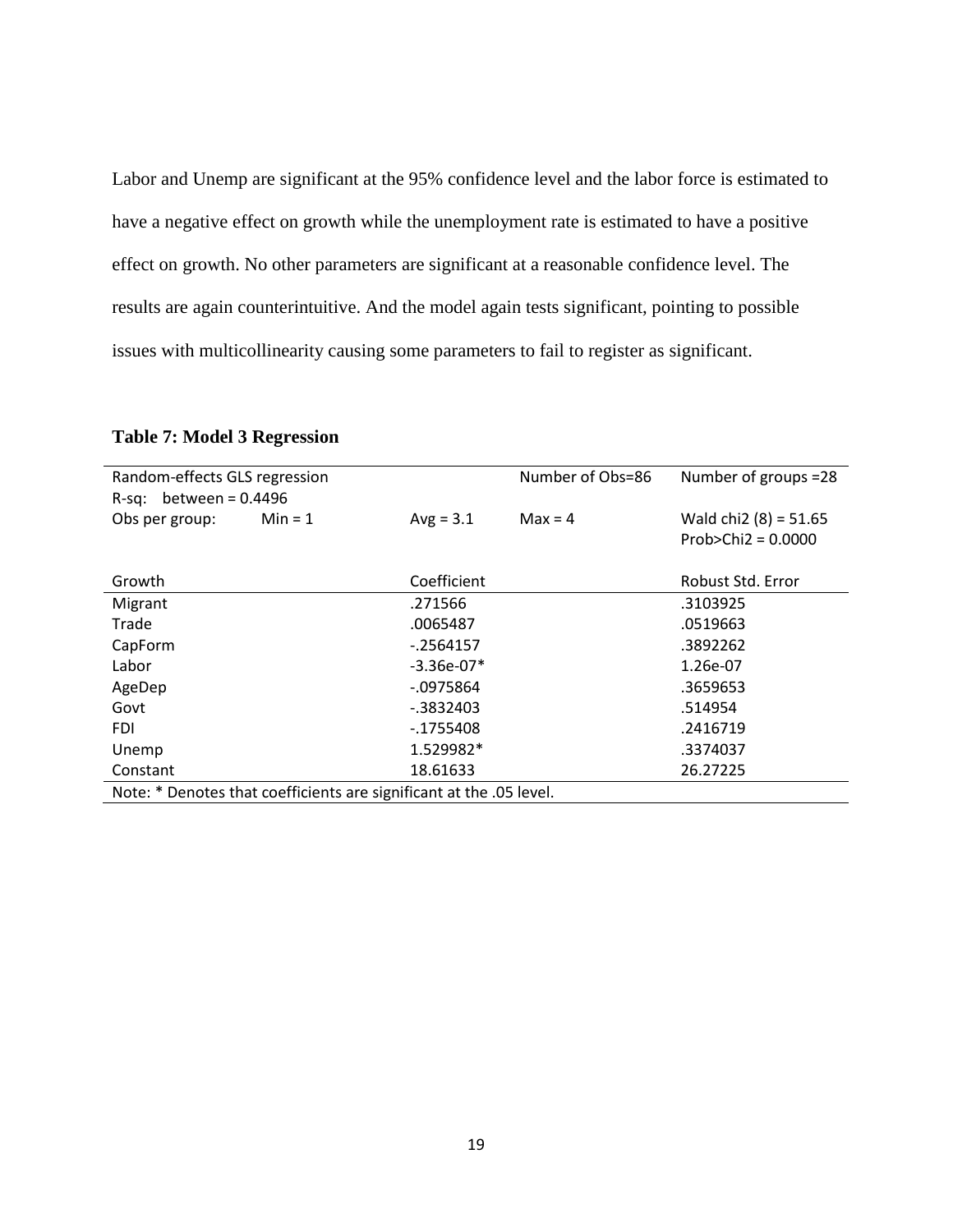Labor and Unemp are significant at the 95% confidence level and the labor force is estimated to have a negative effect on growth while the unemployment rate is estimated to have a positive effect on growth. No other parameters are significant at a reasonable confidence level. The results are again counterintuitive. And the model again tests significant, pointing to possible issues with multicollinearity causing some parameters to fail to register as significant.

| Random-effects GLS regression |                                                                     | Number of Obs=86 | Number of groups =28 |                         |
|-------------------------------|---------------------------------------------------------------------|------------------|----------------------|-------------------------|
| R-sq: between = $0.4496$      |                                                                     |                  |                      |                         |
| Obs per group:                | $Min = 1$                                                           | $Avg = 3.1$      | $Max = 4$            | Wald chi2 $(8) = 51.65$ |
|                               |                                                                     |                  |                      | Prob>Chi $2 = 0.0000$   |
|                               |                                                                     |                  |                      |                         |
| Growth                        |                                                                     | Coefficient      |                      | Robust Std. Error       |
| Migrant                       |                                                                     | .271566          |                      | .3103925                |
| Trade                         |                                                                     | .0065487         |                      | .0519663                |
| CapForm                       |                                                                     | $-2564157$       |                      | .3892262                |
| Labor                         |                                                                     | $-3.36e-07*$     |                      | 1.26e-07                |
| AgeDep                        |                                                                     | $-0975864$       |                      | .3659653                |
| Govt                          |                                                                     | $-0.3832403$     |                      | .514954                 |
| <b>FDI</b>                    |                                                                     | $-1755408$       |                      | .2416719                |
| Unemp                         |                                                                     | 1.529982*        |                      | .3374037                |
| Constant                      |                                                                     | 18.61633         |                      | 26.27225                |
|                               | Note: * Denotes that coefficients are significant at the .05 level. |                  |                      |                         |

#### <span id="page-25-0"></span>**Table 7: Model 3 Regression**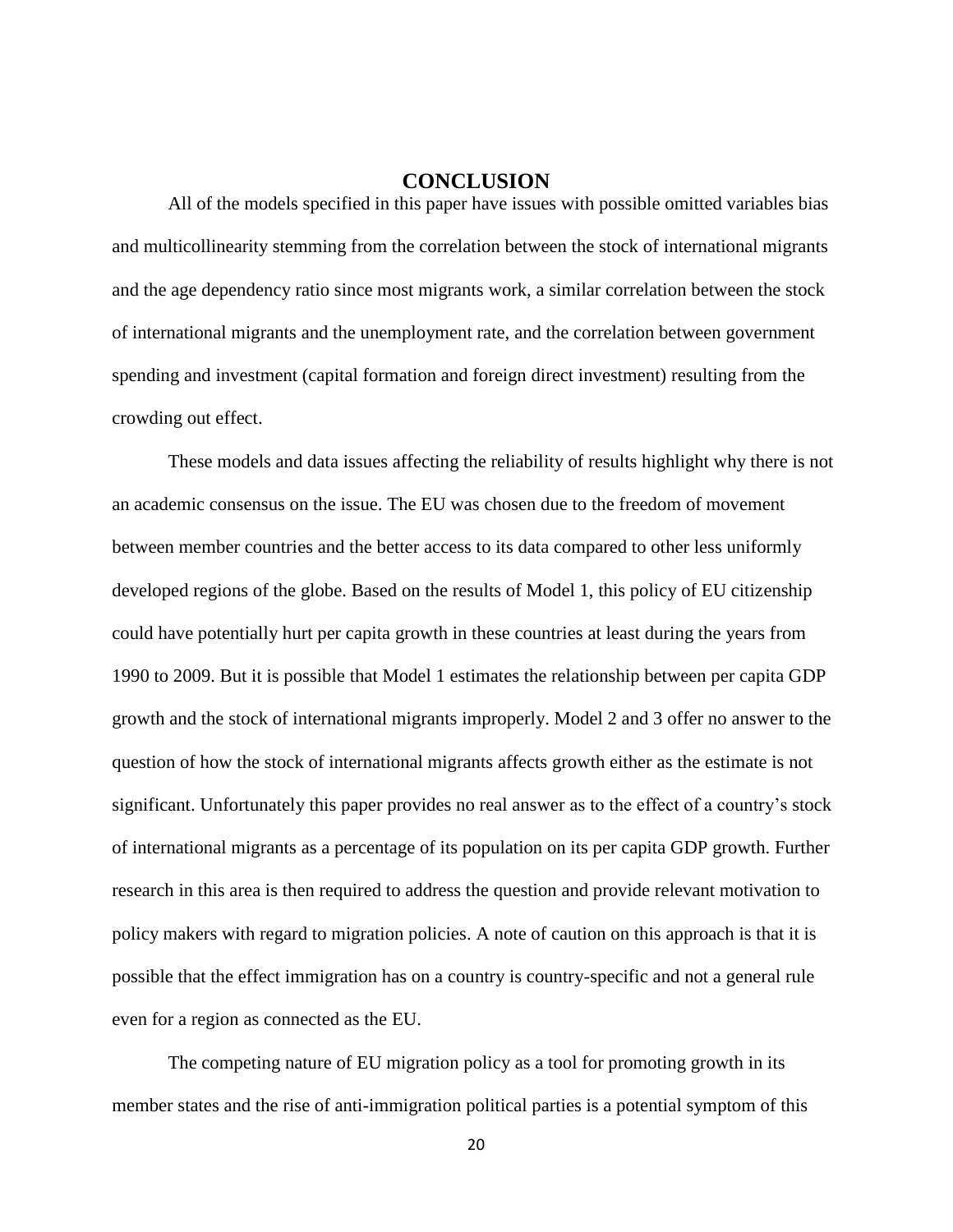#### **CONCLUSION**

<span id="page-26-0"></span>All of the models specified in this paper have issues with possible omitted variables bias and multicollinearity stemming from the correlation between the stock of international migrants and the age dependency ratio since most migrants work, a similar correlation between the stock of international migrants and the unemployment rate, and the correlation between government spending and investment (capital formation and foreign direct investment) resulting from the crowding out effect.

These models and data issues affecting the reliability of results highlight why there is not an academic consensus on the issue. The EU was chosen due to the freedom of movement between member countries and the better access to its data compared to other less uniformly developed regions of the globe. Based on the results of Model 1, this policy of EU citizenship could have potentially hurt per capita growth in these countries at least during the years from 1990 to 2009. But it is possible that Model 1 estimates the relationship between per capita GDP growth and the stock of international migrants improperly. Model 2 and 3 offer no answer to the question of how the stock of international migrants affects growth either as the estimate is not significant. Unfortunately this paper provides no real answer as to the effect of a country's stock of international migrants as a percentage of its population on its per capita GDP growth. Further research in this area is then required to address the question and provide relevant motivation to policy makers with regard to migration policies. A note of caution on this approach is that it is possible that the effect immigration has on a country is country-specific and not a general rule even for a region as connected as the EU.

The competing nature of EU migration policy as a tool for promoting growth in its member states and the rise of anti-immigration political parties is a potential symptom of this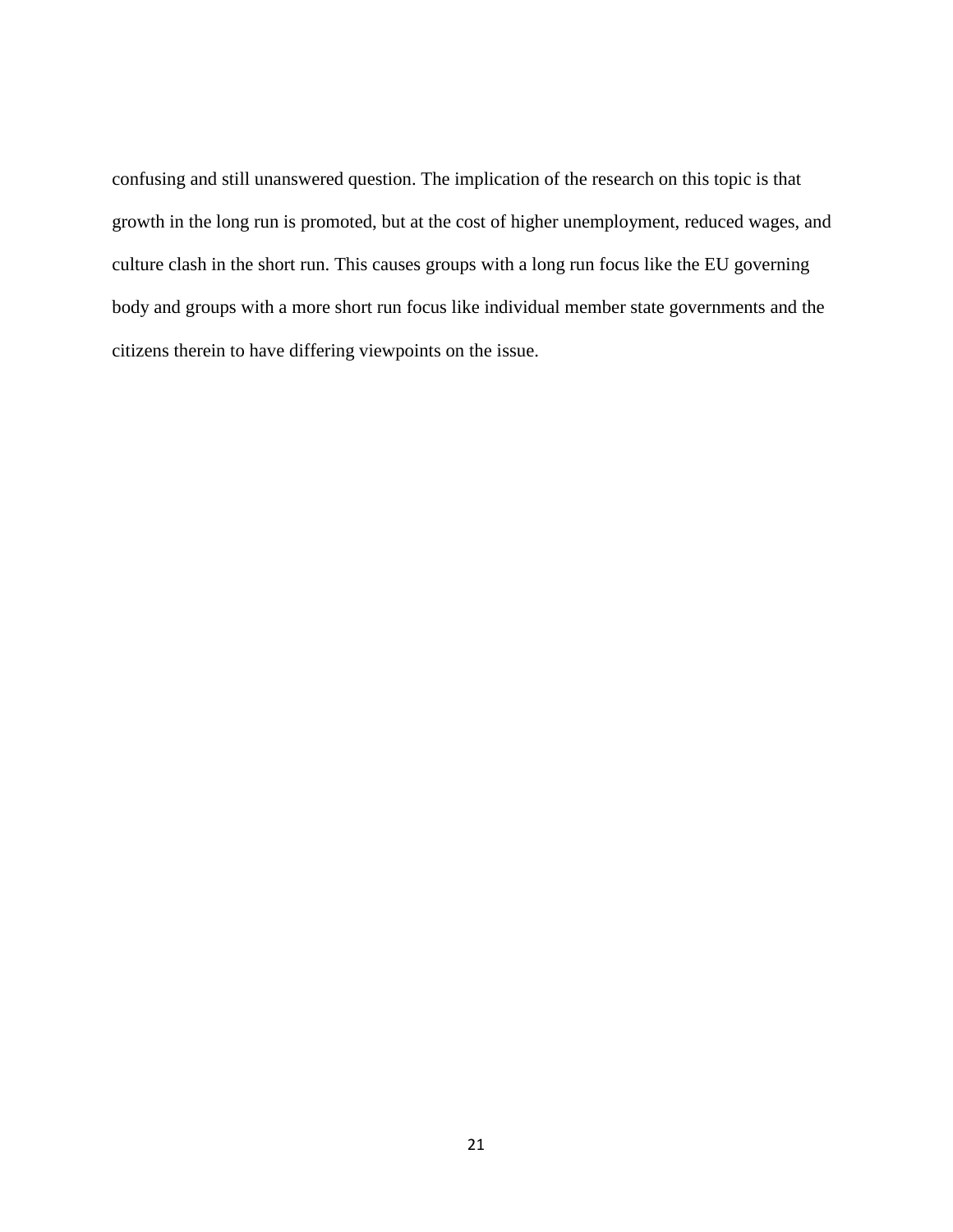confusing and still unanswered question. The implication of the research on this topic is that growth in the long run is promoted, but at the cost of higher unemployment, reduced wages, and culture clash in the short run. This causes groups with a long run focus like the EU governing body and groups with a more short run focus like individual member state governments and the citizens therein to have differing viewpoints on the issue.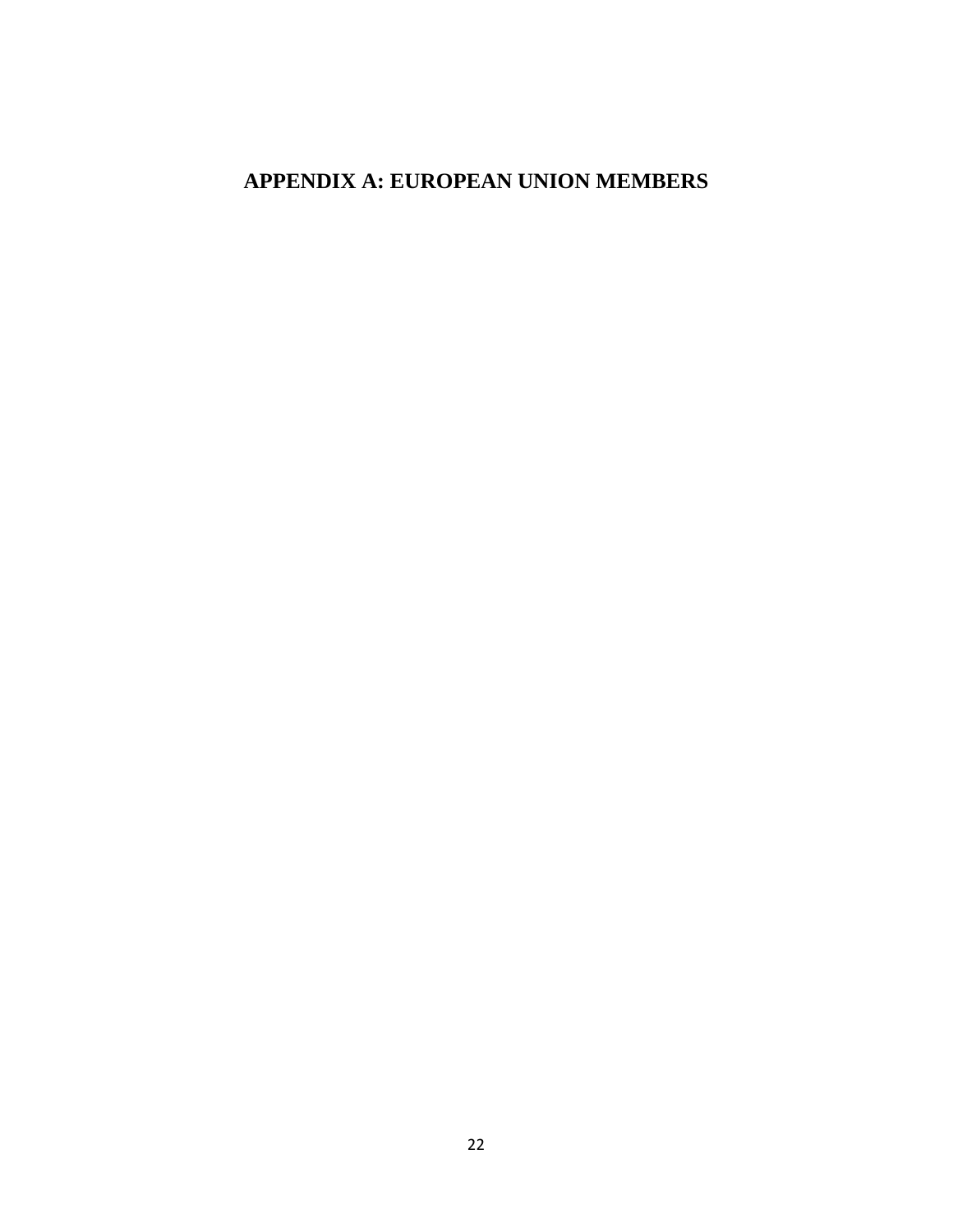## <span id="page-28-0"></span>**APPENDIX A: EUROPEAN UNION MEMBERS**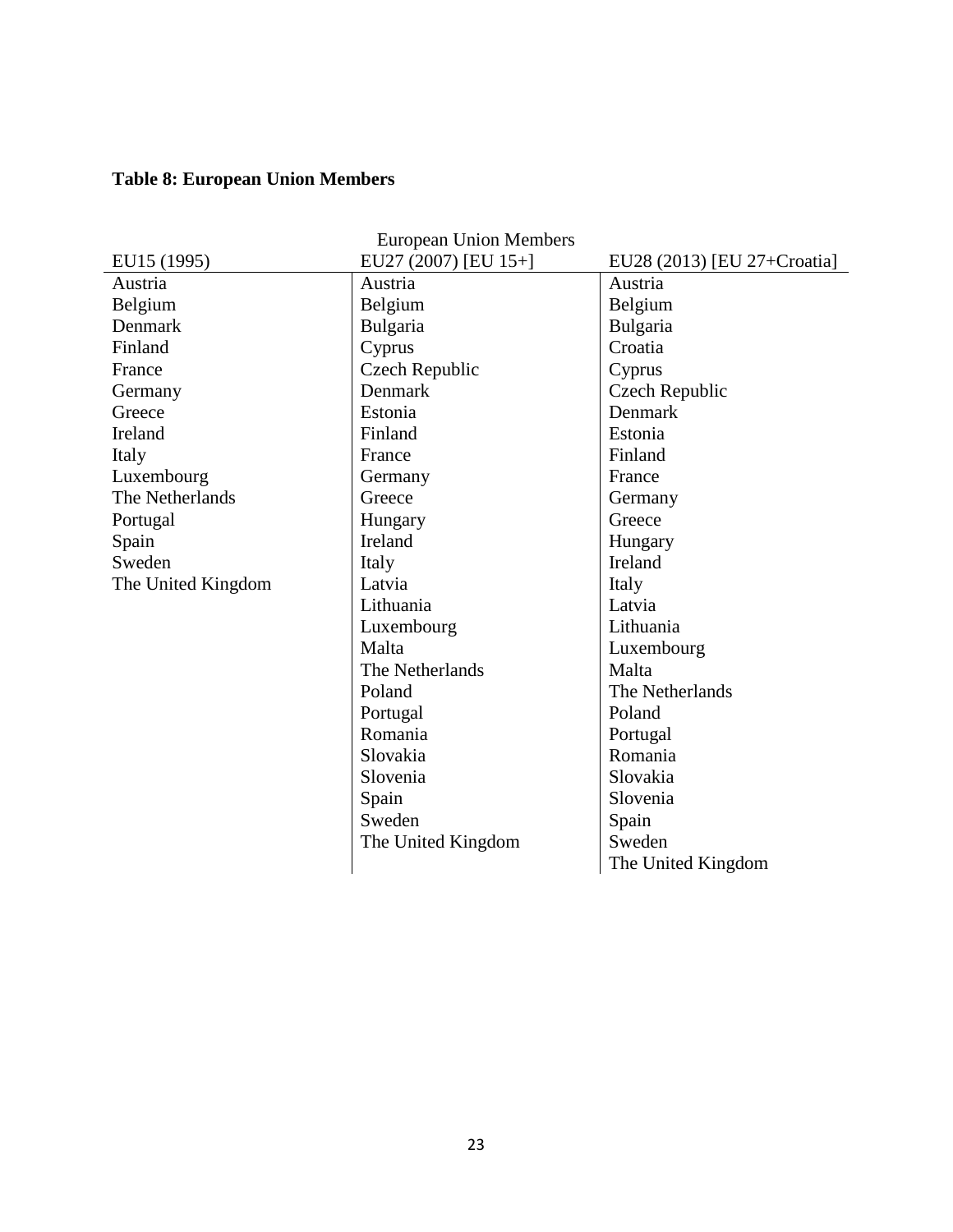## <span id="page-29-0"></span>**Table 8: European Union Members**

| <b>European Union Members</b> |                      |                             |  |  |
|-------------------------------|----------------------|-----------------------------|--|--|
| EU15 (1995)                   | EU27 (2007) [EU 15+] | EU28 (2013) [EU 27+Croatia] |  |  |
| Austria                       | Austria              | Austria                     |  |  |
| Belgium                       | Belgium              | Belgium                     |  |  |
| Denmark                       | Bulgaria             | Bulgaria                    |  |  |
| Finland                       | Cyprus               | Croatia                     |  |  |
| France                        | Czech Republic       | Cyprus                      |  |  |
| Germany                       | Denmark              | Czech Republic              |  |  |
| Greece                        | Estonia              | Denmark                     |  |  |
| Ireland                       | Finland              | Estonia                     |  |  |
| Italy                         | France               | Finland                     |  |  |
| Luxembourg                    | Germany              | France                      |  |  |
| The Netherlands               | Greece               | Germany                     |  |  |
| Portugal                      | Hungary              | Greece                      |  |  |
| Spain                         | <b>Ireland</b>       | Hungary                     |  |  |
| Sweden                        | Italy                | Ireland                     |  |  |
| The United Kingdom            | Latvia               | Italy                       |  |  |
|                               | Lithuania            | Latvia                      |  |  |
|                               | Luxembourg           | Lithuania                   |  |  |
|                               | Malta                | Luxembourg                  |  |  |
|                               | The Netherlands      | Malta                       |  |  |
|                               | Poland               | The Netherlands             |  |  |
|                               | Portugal             | Poland                      |  |  |
|                               | Romania              | Portugal                    |  |  |
|                               | Slovakia             | Romania                     |  |  |
|                               | Slovenia             | Slovakia                    |  |  |
|                               | Spain                | Slovenia                    |  |  |
|                               | Sweden               | Spain                       |  |  |
|                               | The United Kingdom   | Sweden                      |  |  |
|                               |                      | The United Kingdom          |  |  |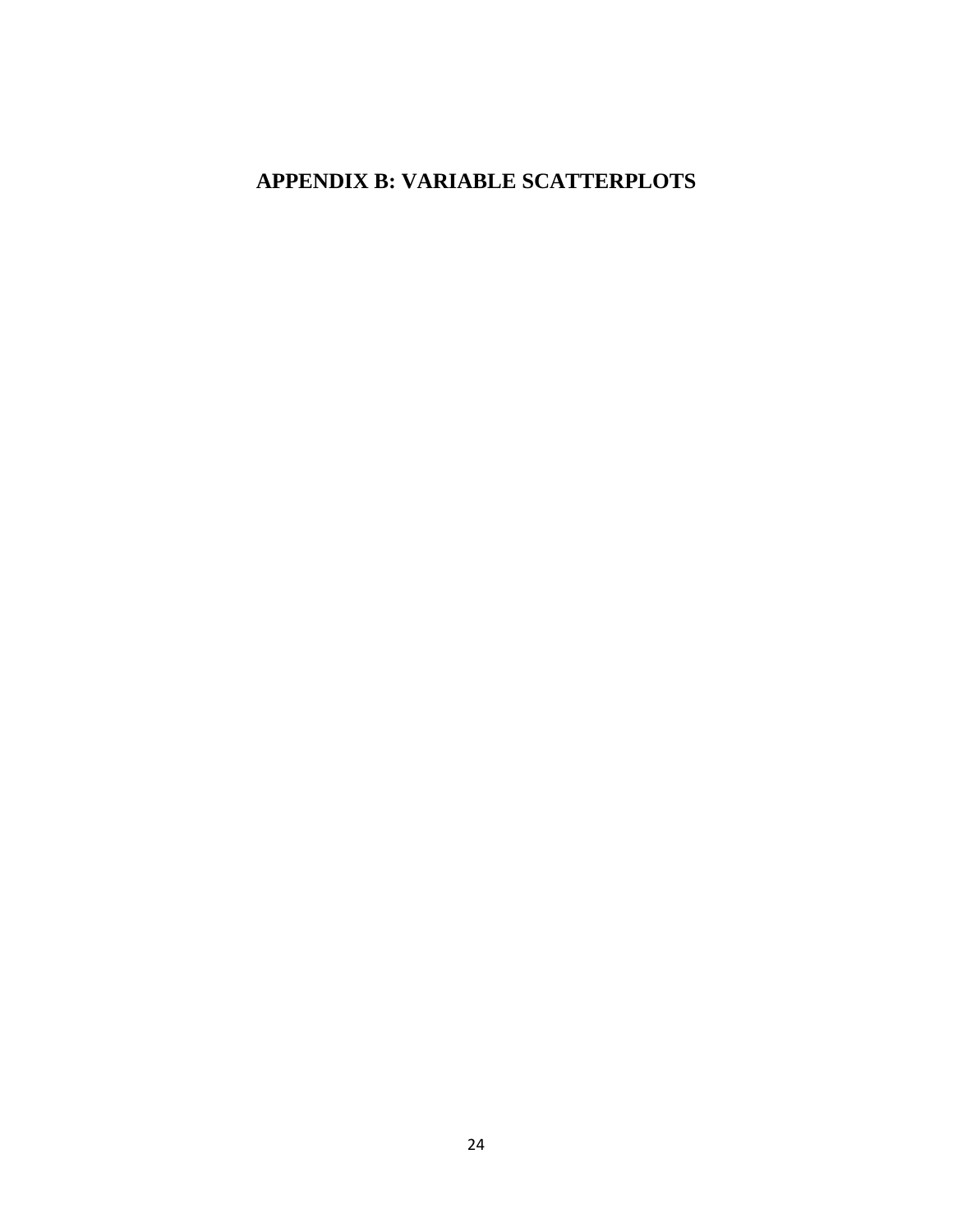## <span id="page-30-0"></span>**APPENDIX B: VARIABLE SCATTERPLOTS**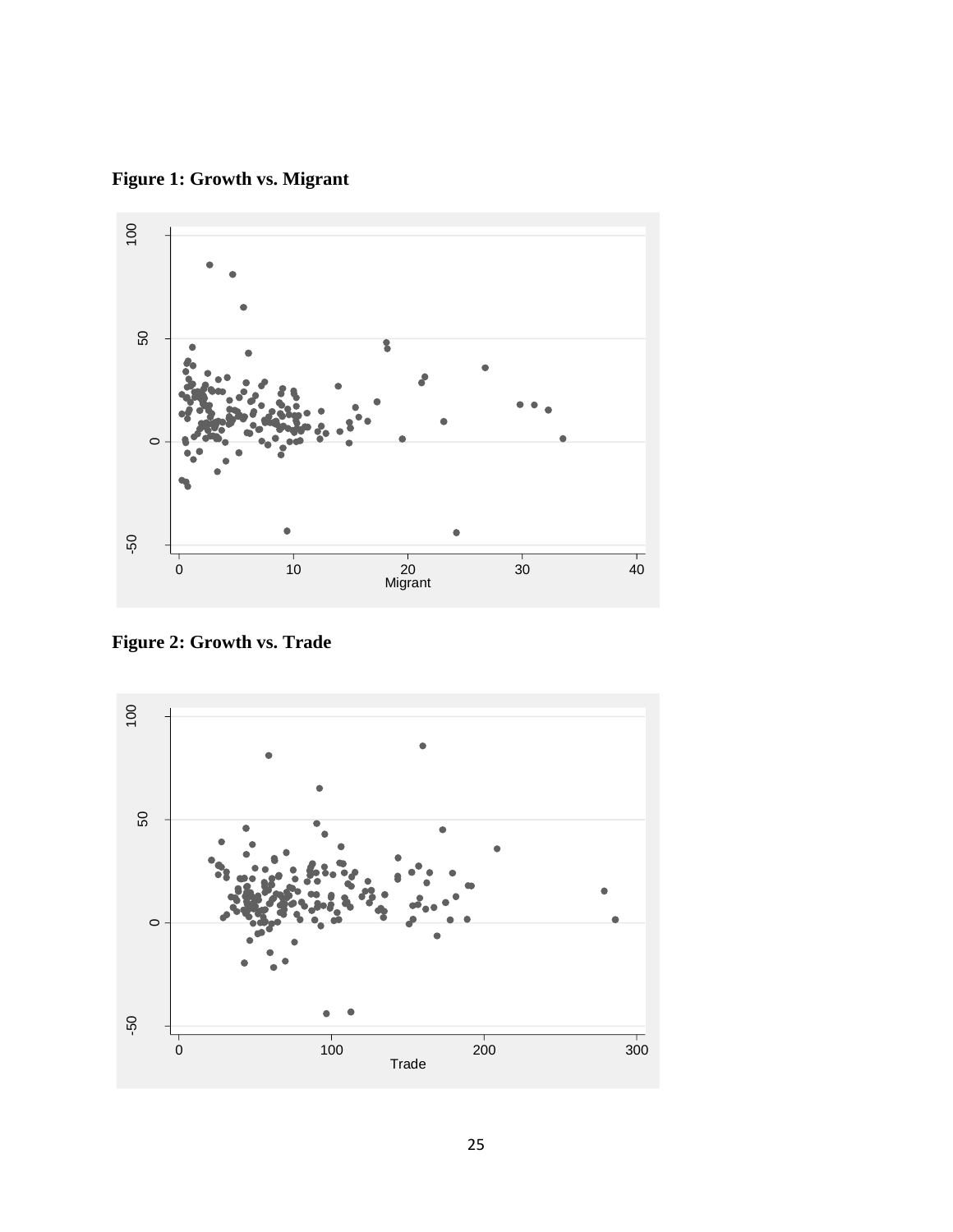<span id="page-31-0"></span>**Figure 1: Growth vs. Migrant**



<span id="page-31-1"></span>**Figure 2: Growth vs. Trade**

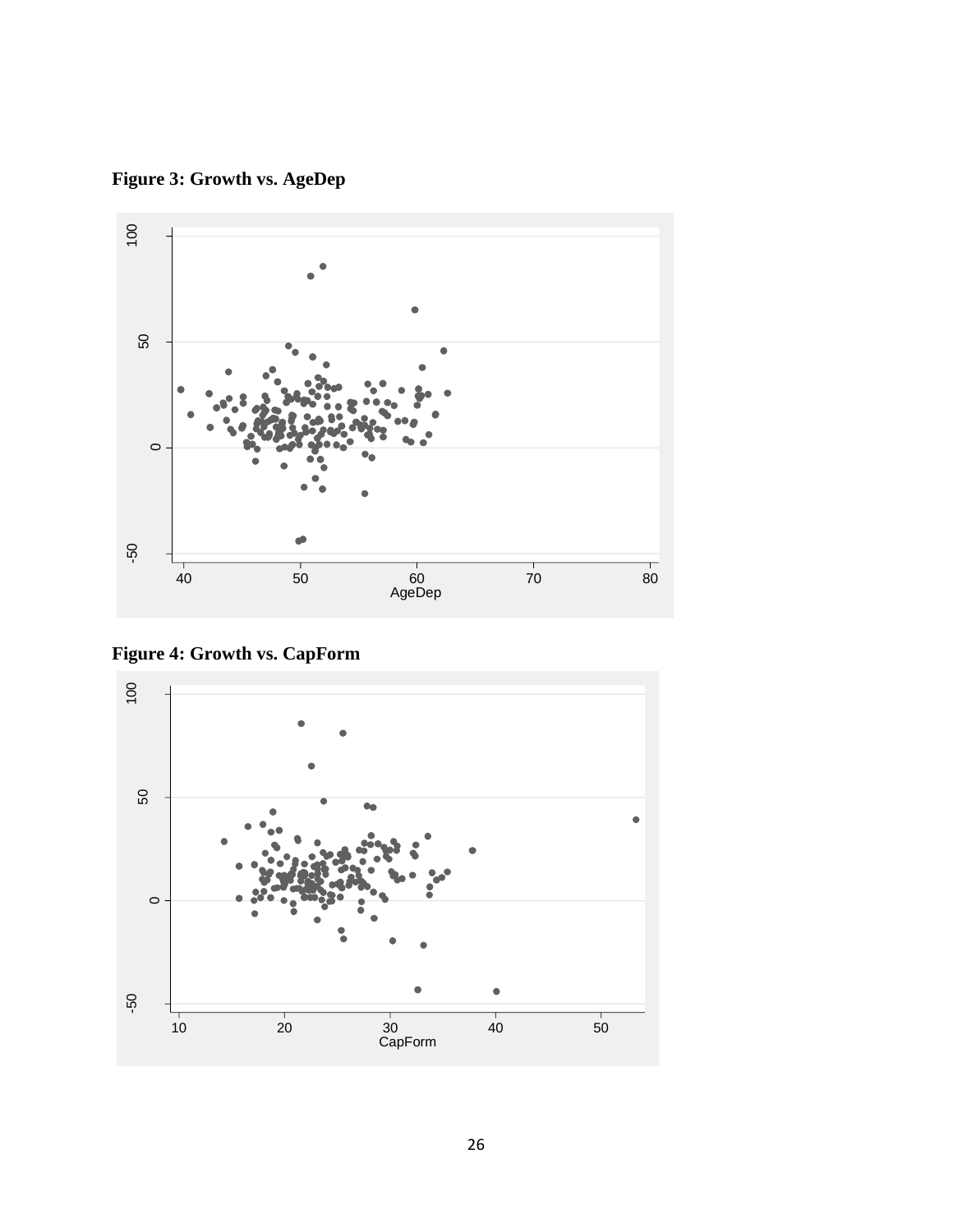<span id="page-32-0"></span>**Figure 3: Growth vs. AgeDep**



<span id="page-32-1"></span>**Figure 4: Growth vs. CapForm**

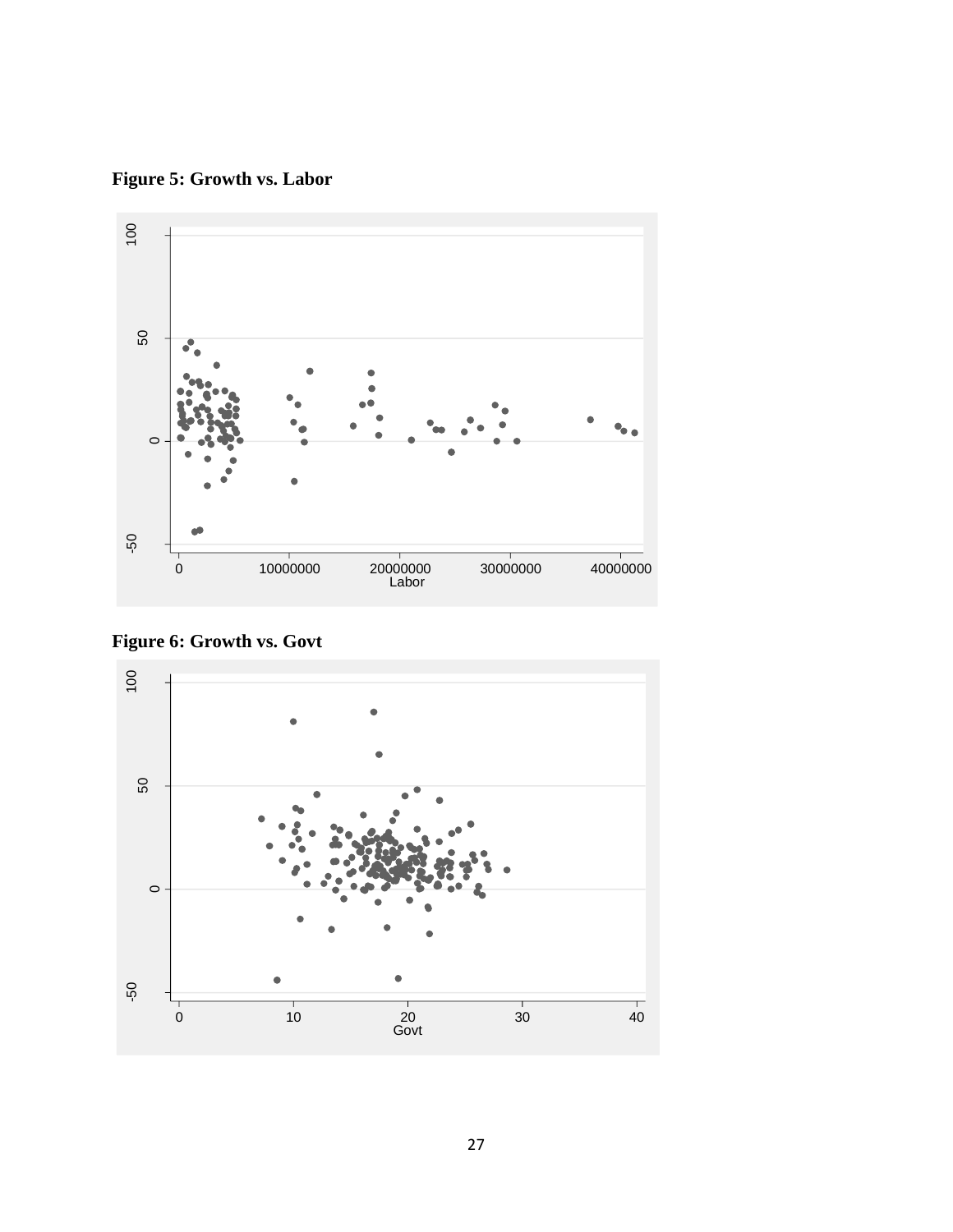<span id="page-33-0"></span>**Figure 5: Growth vs. Labor**



<span id="page-33-1"></span>**Figure 6: Growth vs. Govt**

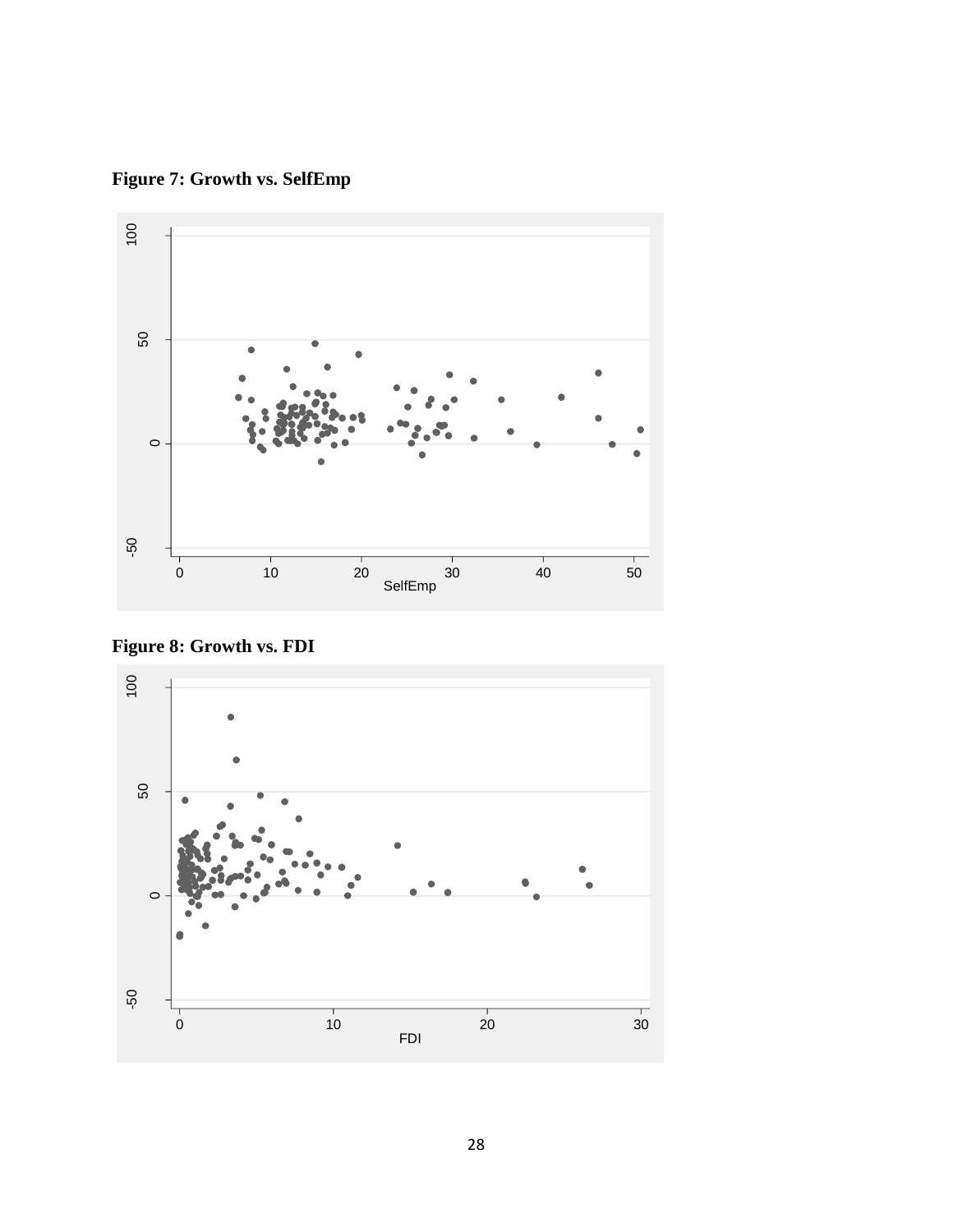<span id="page-34-0"></span>**Figure 7: Growth vs. SelfEmp**



<span id="page-34-1"></span>**Figure 8: Growth vs. FDI**

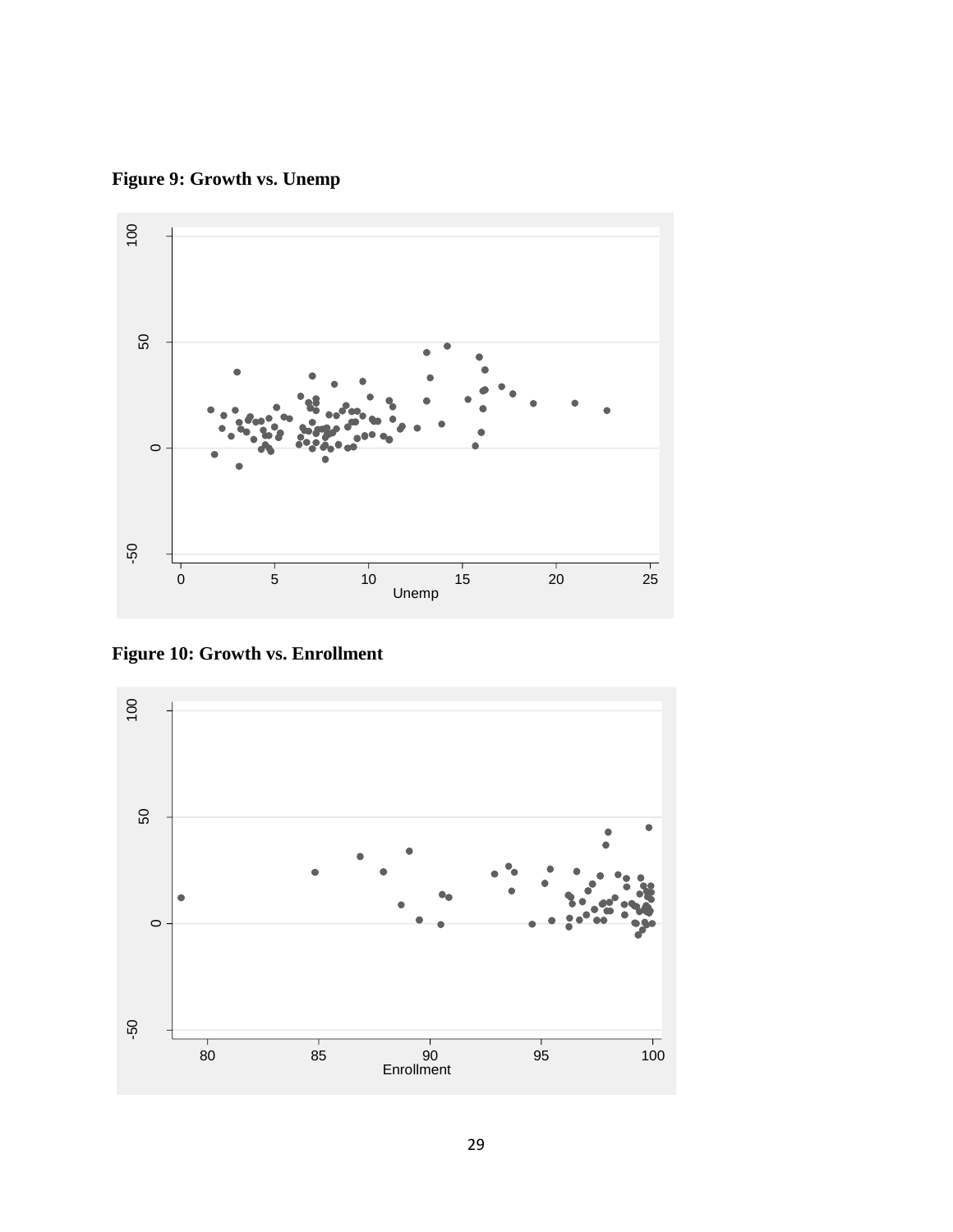<span id="page-35-0"></span>**Figure 9: Growth vs. Unemp**



<span id="page-35-1"></span>**Figure 10: Growth vs. Enrollment**

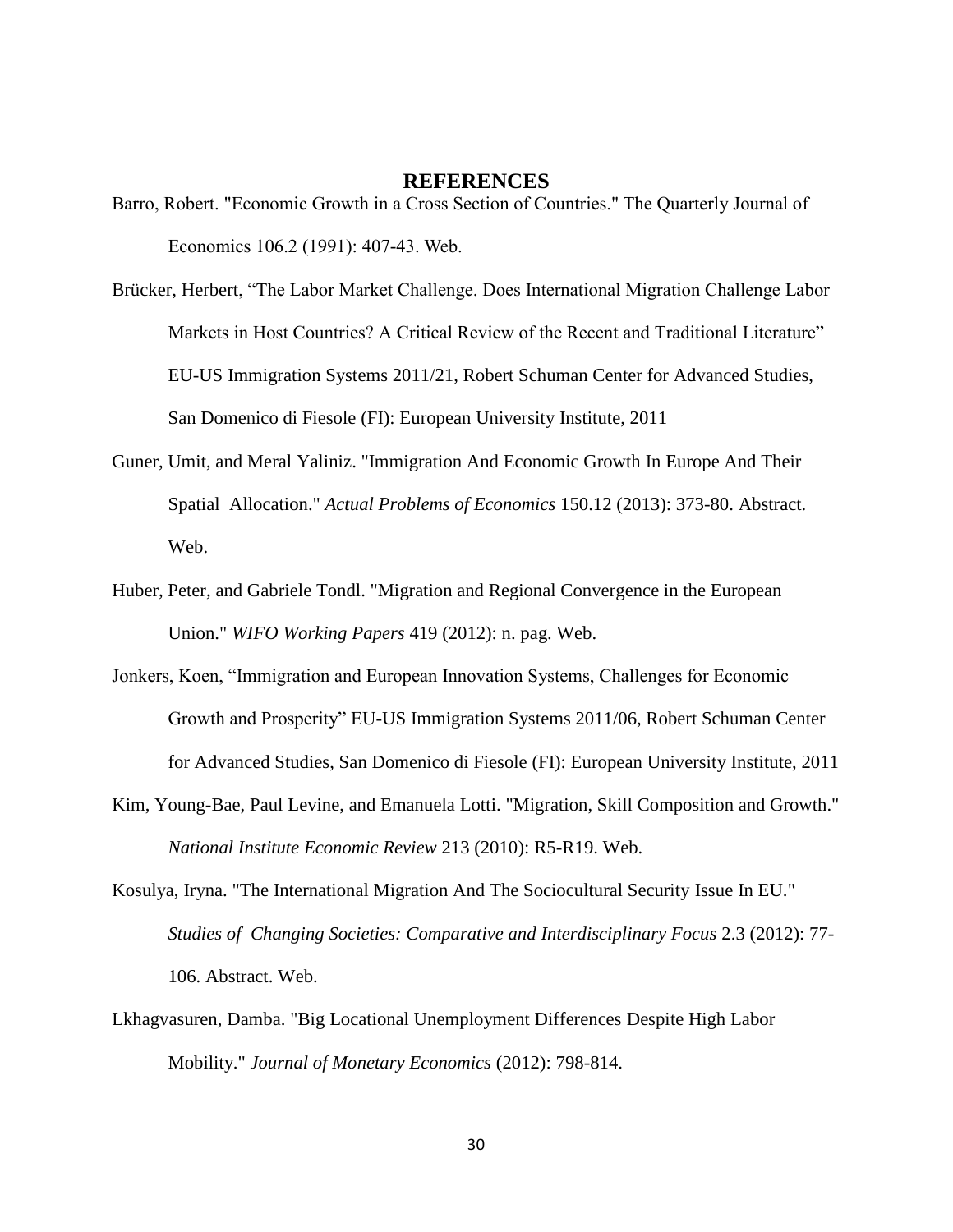#### **REFERENCES**

<span id="page-36-0"></span>Barro, Robert. "Economic Growth in a Cross Section of Countries." The Quarterly Journal of Economics 106.2 (1991): 407-43. Web.

[Brücker, Herbert,](http://cadmus.eui.eu/browse?type=author&value=BR%C3%9CCKER,%20Herbert) "The Labor Market Challenge. Does International Migration Challenge Labor Markets in Host Countries? A Critical Review of the Recent and Traditional Literature" EU-US Immigration Systems 2011/21, Robert Schuman Center for Advanced Studies, San Domenico di Fiesole (FI): European University Institute, 2011

- Guner, Umit, and Meral Yaliniz. "Immigration And Economic Growth In Europe And Their Spatial Allocation." *Actual Problems of Economics* 150.12 (2013): 373-80. Abstract. Web.
- Huber, Peter, and Gabriele Tondl. "Migration and Regional Convergence in the European Union." *WIFO Working Papers* 419 (2012): n. pag. Web.
- Jonkers, Koen, "Immigration and European Innovation Systems, Challenges for Economic Growth and Prosperity" EU-US Immigration Systems 2011/06, Robert Schuman Center for Advanced Studies, San Domenico di Fiesole (FI): European University Institute, 2011
- Kim, Young-Bae, Paul Levine, and Emanuela Lotti. "Migration, Skill Composition and Growth." *National Institute Economic Review* 213 (2010): R5-R19. Web.
- Kosulya, Iryna. "The International Migration And The Sociocultural Security Issue In EU." *Studies of Changing Societies: Comparative and Interdisciplinary Focus* 2.3 (2012): 77- 106. Abstract. Web.
- Lkhagvasuren, Damba. "Big Locational Unemployment Differences Despite High Labor Mobility." *Journal of Monetary Economics* (2012): 798-814.